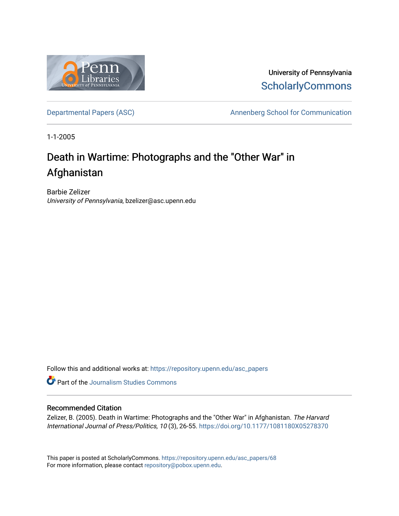

University of Pennsylvania **ScholarlyCommons** 

[Departmental Papers \(ASC\)](https://repository.upenn.edu/asc_papers) and a number of Annenberg School for Communication

1-1-2005

# Death in Wartime: Photographs and the "Other War" in Afghanistan

Barbie Zelizer University of Pennsylvania, bzelizer@asc.upenn.edu

Follow this and additional works at: [https://repository.upenn.edu/asc\\_papers](https://repository.upenn.edu/asc_papers?utm_source=repository.upenn.edu%2Fasc_papers%2F68&utm_medium=PDF&utm_campaign=PDFCoverPages)

**C** Part of the [Journalism Studies Commons](http://network.bepress.com/hgg/discipline/333?utm_source=repository.upenn.edu%2Fasc_papers%2F68&utm_medium=PDF&utm_campaign=PDFCoverPages)

### Recommended Citation

Zelizer, B. (2005). Death in Wartime: Photographs and the "Other War" in Afghanistan. The Harvard International Journal of Press/Politics, 10 (3), 26-55. <https://doi.org/10.1177/1081180X05278370>

This paper is posted at ScholarlyCommons. [https://repository.upenn.edu/asc\\_papers/68](https://repository.upenn.edu/asc_papers/68) For more information, please contact [repository@pobox.upenn.edu.](mailto:repository@pobox.upenn.edu)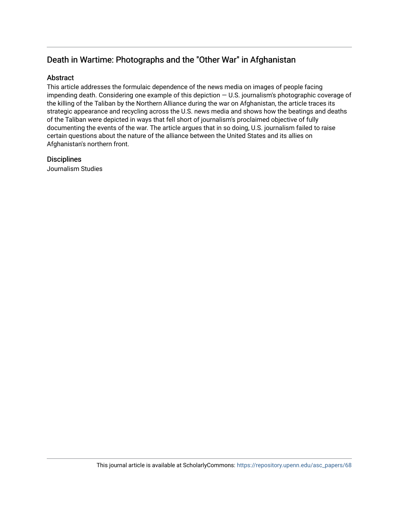# Death in Wartime: Photographs and the "Other War" in Afghanistan

### **Abstract**

This article addresses the formulaic dependence of the news media on images of people facing impending death. Considering one example of this depiction — U.S. journalism's photographic coverage of the killing of the Taliban by the Northern Alliance during the war on Afghanistan, the article traces its strategic appearance and recycling across the U.S. news media and shows how the beatings and deaths of the Taliban were depicted in ways that fell short of journalism's proclaimed objective of fully documenting the events of the war. The article argues that in so doing, U.S. journalism failed to raise certain questions about the nature of the alliance between the United States and its allies on Afghanistan's northern front.

## **Disciplines**

Journalism Studies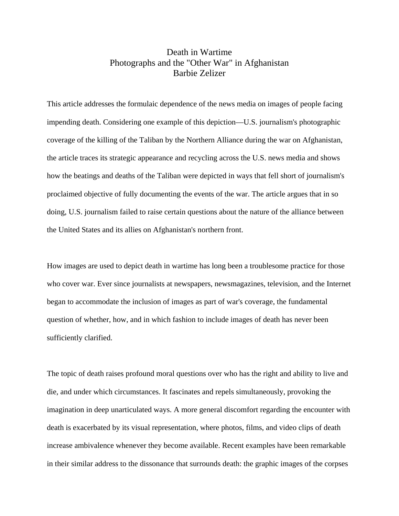# Death in Wartime Photographs and the "Other War" in Afghanistan Barbie Zelizer

This article addresses the formulaic dependence of the news media on images of people facing impending death. Considering one example of this depiction—U.S. journalism's photographic coverage of the killing of the Taliban by the Northern Alliance during the war on Afghanistan, the article traces its strategic appearance and recycling across the U.S. news media and shows how the beatings and deaths of the Taliban were depicted in ways that fell short of journalism's proclaimed objective of fully documenting the events of the war. The article argues that in so doing, U.S. journalism failed to raise certain questions about the nature of the alliance between the United States and its allies on Afghanistan's northern front.

How images are used to depict death in wartime has long been a troublesome practice for those who cover war. Ever since journalists at newspapers, newsmagazines, television, and the Internet began to accommodate the inclusion of images as part of war's coverage, the fundamental question of whether, how, and in which fashion to include images of death has never been sufficiently clarified.

The topic of death raises profound moral questions over who has the right and ability to live and die, and under which circumstances. It fascinates and repels simultaneously, provoking the imagination in deep unarticulated ways. A more general discomfort regarding the encounter with death is exacerbated by its visual representation, where photos, films, and video clips of death increase ambivalence whenever they become available. Recent examples have been remarkable in their similar address to the dissonance that surrounds death: the graphic images of the corpses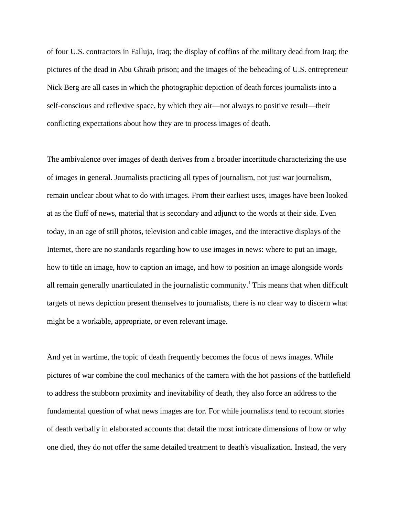of four U.S. contractors in Falluja, Iraq; the display of coffins of the military dead from Iraq; the pictures of the dead in Abu Ghraib prison; and the images of the beheading of U.S. entrepreneur Nick Berg are all cases in which the photographic depiction of death forces journalists into a self-conscious and reflexive space, by which they air—not always to positive result—their conflicting expectations about how they are to process images of death.

The ambivalence over images of death derives from a broader incertitude characterizing the use of images in general. Journalists practicing all types of journalism, not just war journalism, remain unclear about what to do with images. From their earliest uses, images have been looked at as the fluff of news, material that is secondary and adjunct to the words at their side. Even today, in an age of still photos, television and cable images, and the interactive displays of the Internet, there are no standards regarding how to use images in news: where to put an image, how to title an image, how to caption an image, and how to position an image alongside words all remain generally unarticulated in the journalistic community.<sup>1</sup> This means that when difficult targets of news depiction present themselves to journalists, there is no clear way to discern what might be a workable, appropriate, or even relevant image.

And yet in wartime, the topic of death frequently becomes the focus of news images. While pictures of war combine the cool mechanics of the camera with the hot passions of the battlefield to address the stubborn proximity and inevitability of death, they also force an address to the fundamental question of what news images are for. For while journalists tend to recount stories of death verbally in elaborated accounts that detail the most intricate dimensions of how or why one died, they do not offer the same detailed treatment to death's visualization. Instead, the very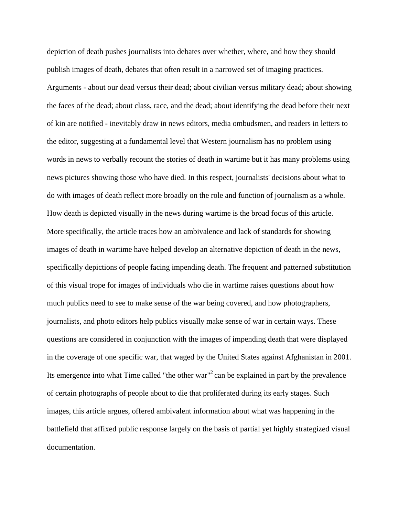depiction of death pushes journalists into debates over whether, where, and how they should publish images of death, debates that often result in a narrowed set of imaging practices. Arguments - about our dead versus their dead; about civilian versus military dead; about showing the faces of the dead; about class, race, and the dead; about identifying the dead before their next of kin are notified - inevitably draw in news editors, media ombudsmen, and readers in letters to the editor, suggesting at a fundamental level that Western journalism has no problem using words in news to verbally recount the stories of death in wartime but it has many problems using news pictures showing those who have died. In this respect, journalists' decisions about what to do with images of death reflect more broadly on the role and function of journalism as a whole. How death is depicted visually in the news during wartime is the broad focus of this article. More specifically, the article traces how an ambivalence and lack of standards for showing images of death in wartime have helped develop an alternative depiction of death in the news, specifically depictions of people facing impending death. The frequent and patterned substitution of this visual trope for images of individuals who die in wartime raises questions about how much publics need to see to make sense of the war being covered, and how photographers, journalists, and photo editors help publics visually make sense of war in certain ways. These questions are considered in conjunction with the images of impending death that were displayed in the coverage of one specific war, that waged by the United States against Afghanistan in 2001. Its emergence into what Time called "the other war"2 can be explained in part by the prevalence of certain photographs of people about to die that proliferated during its early stages. Such images, this article argues, offered ambivalent information about what was happening in the battlefield that affixed public response largely on the basis of partial yet highly strategized visual documentation.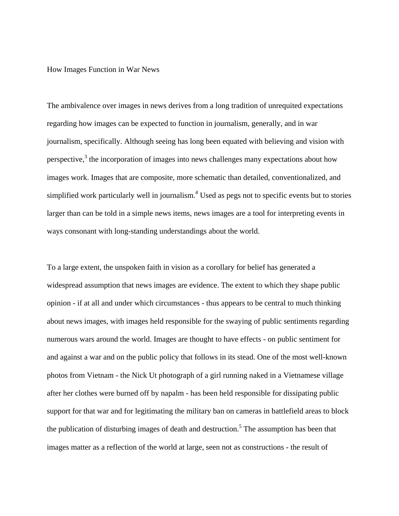How Images Function in War News

The ambivalence over images in news derives from a long tradition of unrequited expectations regarding how images can be expected to function in journalism, generally, and in war journalism, specifically. Although seeing has long been equated with believing and vision with perspective,<sup>3</sup> the incorporation of images into news challenges many expectations about how images work. Images that are composite, more schematic than detailed, conventionalized, and simplified work particularly well in journalism.<sup>4</sup> Used as pegs not to specific events but to stories larger than can be told in a simple news items, news images are a tool for interpreting events in ways consonant with long-standing understandings about the world.

To a large extent, the unspoken faith in vision as a corollary for belief has generated a widespread assumption that news images are evidence. The extent to which they shape public opinion - if at all and under which circumstances - thus appears to be central to much thinking about news images, with images held responsible for the swaying of public sentiments regarding numerous wars around the world. Images are thought to have effects - on public sentiment for and against a war and on the public policy that follows in its stead. One of the most well-known photos from Vietnam - the Nick Ut photograph of a girl running naked in a Vietnamese village after her clothes were burned off by napalm - has been held responsible for dissipating public support for that war and for legitimating the military ban on cameras in battlefield areas to block the publication of disturbing images of death and destruction.<sup>5</sup> The assumption has been that images matter as a reflection of the world at large, seen not as constructions - the result of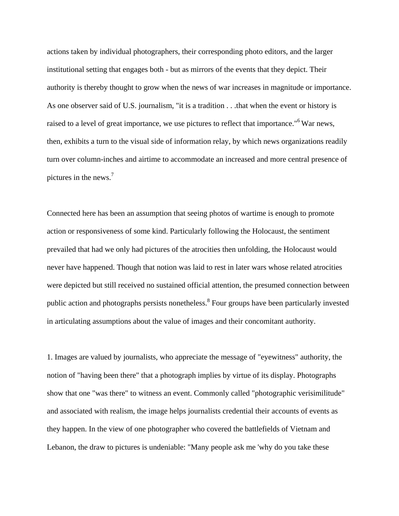actions taken by individual photographers, their corresponding photo editors, and the larger institutional setting that engages both - but as mirrors of the events that they depict. Their authority is thereby thought to grow when the news of war increases in magnitude or importance. As one observer said of U.S. journalism, "it is a tradition . . .that when the event or history is raised to a level of great importance, we use pictures to reflect that importance."<sup>6</sup> War news, then, exhibits a turn to the visual side of information relay, by which news organizations readily turn over column-inches and airtime to accommodate an increased and more central presence of pictures in the news.<sup>7</sup>

Connected here has been an assumption that seeing photos of wartime is enough to promote action or responsiveness of some kind. Particularly following the Holocaust, the sentiment prevailed that had we only had pictures of the atrocities then unfolding, the Holocaust would never have happened. Though that notion was laid to rest in later wars whose related atrocities were depicted but still received no sustained official attention, the presumed connection between public action and photographs persists nonetheless.<sup>8</sup> Four groups have been particularly invested in articulating assumptions about the value of images and their concomitant authority.

1. Images are valued by journalists, who appreciate the message of "eyewitness" authority, the notion of "having been there" that a photograph implies by virtue of its display. Photographs show that one "was there" to witness an event. Commonly called "photographic verisimilitude" and associated with realism, the image helps journalists credential their accounts of events as they happen. In the view of one photographer who covered the battlefields of Vietnam and Lebanon, the draw to pictures is undeniable: "Many people ask me 'why do you take these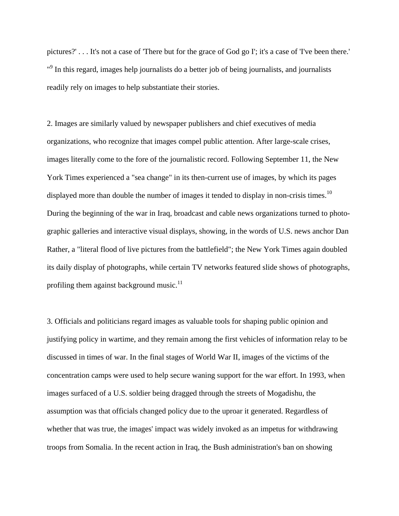pictures?' . . . It's not a case of 'There but for the grace of God go I'; it's a case of 'I've been there.' <sup>19</sup> In this regard, images help journalists do a better job of being journalists, and journalists readily rely on images to help substantiate their stories.

2. Images are similarly valued by newspaper publishers and chief executives of media organizations, who recognize that images compel public attention. After large-scale crises, images literally come to the fore of the journalistic record. Following September 11, the New York Times experienced a "sea change" in its then-current use of images, by which its pages displayed more than double the number of images it tended to display in non-crisis times.<sup>10</sup> During the beginning of the war in Iraq, broadcast and cable news organizations turned to photographic galleries and interactive visual displays, showing, in the words of U.S. news anchor Dan Rather, a "literal flood of live pictures from the battlefield"; the New York Times again doubled its daily display of photographs, while certain TV networks featured slide shows of photographs, profiling them against background music. $11$ 

3. Officials and politicians regard images as valuable tools for shaping public opinion and justifying policy in wartime, and they remain among the first vehicles of information relay to be discussed in times of war. In the final stages of World War II, images of the victims of the concentration camps were used to help secure waning support for the war effort. In 1993, when images surfaced of a U.S. soldier being dragged through the streets of Mogadishu, the assumption was that officials changed policy due to the uproar it generated. Regardless of whether that was true, the images' impact was widely invoked as an impetus for withdrawing troops from Somalia. In the recent action in Iraq, the Bush administration's ban on showing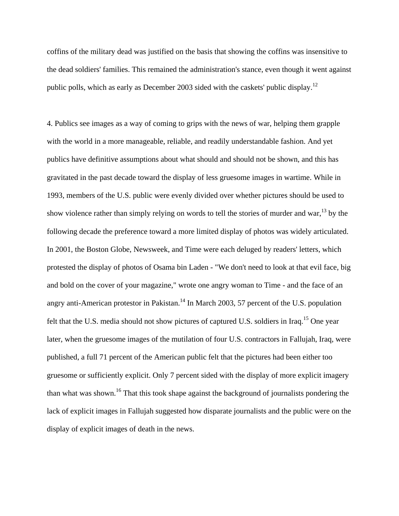coffins of the military dead was justified on the basis that showing the coffins was insensitive to the dead soldiers' families. This remained the administration's stance, even though it went against public polls, which as early as December 2003 sided with the caskets' public display.<sup>12</sup>

4. Publics see images as a way of coming to grips with the news of war, helping them grapple with the world in a more manageable, reliable, and readily understandable fashion. And yet publics have definitive assumptions about what should and should not be shown, and this has gravitated in the past decade toward the display of less gruesome images in wartime. While in 1993, members of the U.S. public were evenly divided over whether pictures should be used to show violence rather than simply relying on words to tell the stories of murder and war,  $^{13}$  by the following decade the preference toward a more limited display of photos was widely articulated. In 2001, the Boston Globe, Newsweek, and Time were each deluged by readers' letters, which protested the display of photos of Osama bin Laden - "We don't need to look at that evil face, big and bold on the cover of your magazine," wrote one angry woman to Time - and the face of an angry anti-American protestor in Pakistan.<sup>14</sup> In March 2003, 57 percent of the U.S. population felt that the U.S. media should not show pictures of captured U.S. soldiers in Iraq.<sup>15</sup> One year later, when the gruesome images of the mutilation of four U.S. contractors in Fallujah, Iraq, were published, a full 71 percent of the American public felt that the pictures had been either too gruesome or sufficiently explicit. Only 7 percent sided with the display of more explicit imagery than what was shown.16 That this took shape against the background of journalists pondering the lack of explicit images in Fallujah suggested how disparate journalists and the public were on the display of explicit images of death in the news.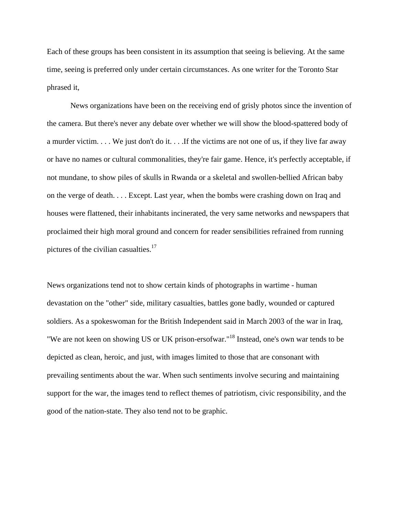Each of these groups has been consistent in its assumption that seeing is believing. At the same time, seeing is preferred only under certain circumstances. As one writer for the Toronto Star phrased it,

 News organizations have been on the receiving end of grisly photos since the invention of the camera. But there's never any debate over whether we will show the blood-spattered body of a murder victim. . . . We just don't do it. . . .If the victims are not one of us, if they live far away or have no names or cultural commonalities, they're fair game. Hence, it's perfectly acceptable, if not mundane, to show piles of skulls in Rwanda or a skeletal and swollen-bellied African baby on the verge of death. . . . Except. Last year, when the bombs were crashing down on Iraq and houses were flattened, their inhabitants incinerated, the very same networks and newspapers that proclaimed their high moral ground and concern for reader sensibilities refrained from running pictures of the civilian casualties.17

News organizations tend not to show certain kinds of photographs in wartime - human devastation on the "other" side, military casualties, battles gone badly, wounded or captured soldiers. As a spokeswoman for the British Independent said in March 2003 of the war in Iraq, "We are not keen on showing US or UK prison-ersofwar."<sup>18</sup> Instead, one's own war tends to be depicted as clean, heroic, and just, with images limited to those that are consonant with prevailing sentiments about the war. When such sentiments involve securing and maintaining support for the war, the images tend to reflect themes of patriotism, civic responsibility, and the good of the nation-state. They also tend not to be graphic.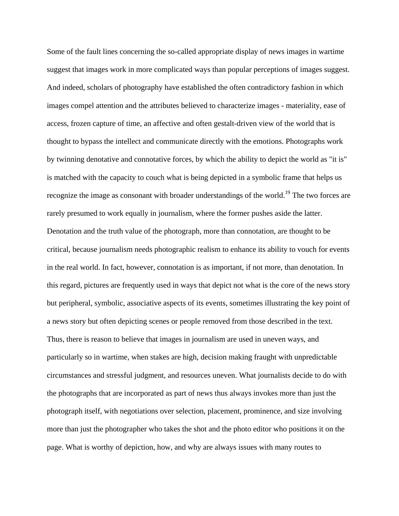Some of the fault lines concerning the so-called appropriate display of news images in wartime suggest that images work in more complicated ways than popular perceptions of images suggest. And indeed, scholars of photography have established the often contradictory fashion in which images compel attention and the attributes believed to characterize images - materiality, ease of access, frozen capture of time, an affective and often gestalt-driven view of the world that is thought to bypass the intellect and communicate directly with the emotions. Photographs work by twinning denotative and connotative forces, by which the ability to depict the world as "it is" is matched with the capacity to couch what is being depicted in a symbolic frame that helps us recognize the image as consonant with broader understandings of the world.<sup>19</sup> The two forces are rarely presumed to work equally in journalism, where the former pushes aside the latter. Denotation and the truth value of the photograph, more than connotation, are thought to be critical, because journalism needs photographic realism to enhance its ability to vouch for events in the real world. In fact, however, connotation is as important, if not more, than denotation. In this regard, pictures are frequently used in ways that depict not what is the core of the news story but peripheral, symbolic, associative aspects of its events, sometimes illustrating the key point of a news story but often depicting scenes or people removed from those described in the text. Thus, there is reason to believe that images in journalism are used in uneven ways, and particularly so in wartime, when stakes are high, decision making fraught with unpredictable circumstances and stressful judgment, and resources uneven. What journalists decide to do with the photographs that are incorporated as part of news thus always invokes more than just the photograph itself, with negotiations over selection, placement, prominence, and size involving more than just the photographer who takes the shot and the photo editor who positions it on the page. What is worthy of depiction, how, and why are always issues with many routes to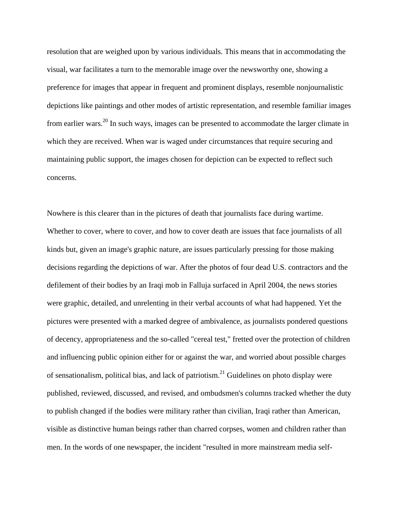resolution that are weighed upon by various individuals. This means that in accommodating the visual, war facilitates a turn to the memorable image over the newsworthy one, showing a preference for images that appear in frequent and prominent displays, resemble nonjournalistic depictions like paintings and other modes of artistic representation, and resemble familiar images from earlier wars.<sup>20</sup> In such ways, images can be presented to accommodate the larger climate in which they are received. When war is waged under circumstances that require securing and maintaining public support, the images chosen for depiction can be expected to reflect such concerns.

Nowhere is this clearer than in the pictures of death that journalists face during wartime. Whether to cover, where to cover, and how to cover death are issues that face journalists of all kinds but, given an image's graphic nature, are issues particularly pressing for those making decisions regarding the depictions of war. After the photos of four dead U.S. contractors and the defilement of their bodies by an Iraqi mob in Falluja surfaced in April 2004, the news stories were graphic, detailed, and unrelenting in their verbal accounts of what had happened. Yet the pictures were presented with a marked degree of ambivalence, as journalists pondered questions of decency, appropriateness and the so-called "cereal test," fretted over the protection of children and influencing public opinion either for or against the war, and worried about possible charges of sensationalism, political bias, and lack of patriotism.<sup>21</sup> Guidelines on photo display were published, reviewed, discussed, and revised, and ombudsmen's columns tracked whether the duty to publish changed if the bodies were military rather than civilian, Iraqi rather than American, visible as distinctive human beings rather than charred corpses, women and children rather than men. In the words of one newspaper, the incident "resulted in more mainstream media self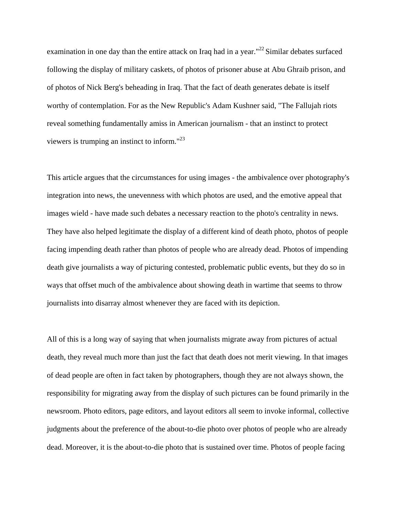examination in one day than the entire attack on Iraq had in a year."<sup>22</sup> Similar debates surfaced following the display of military caskets, of photos of prisoner abuse at Abu Ghraib prison, and of photos of Nick Berg's beheading in Iraq. That the fact of death generates debate is itself worthy of contemplation. For as the New Republic's Adam Kushner said, "The Fallujah riots reveal something fundamentally amiss in American journalism - that an instinct to protect viewers is trumping an instinct to inform."<sup>23</sup>

This article argues that the circumstances for using images - the ambivalence over photography's integration into news, the unevenness with which photos are used, and the emotive appeal that images wield - have made such debates a necessary reaction to the photo's centrality in news. They have also helped legitimate the display of a different kind of death photo, photos of people facing impending death rather than photos of people who are already dead. Photos of impending death give journalists a way of picturing contested, problematic public events, but they do so in ways that offset much of the ambivalence about showing death in wartime that seems to throw journalists into disarray almost whenever they are faced with its depiction.

All of this is a long way of saying that when journalists migrate away from pictures of actual death, they reveal much more than just the fact that death does not merit viewing. In that images of dead people are often in fact taken by photographers, though they are not always shown, the responsibility for migrating away from the display of such pictures can be found primarily in the newsroom. Photo editors, page editors, and layout editors all seem to invoke informal, collective judgments about the preference of the about-to-die photo over photos of people who are already dead. Moreover, it is the about-to-die photo that is sustained over time. Photos of people facing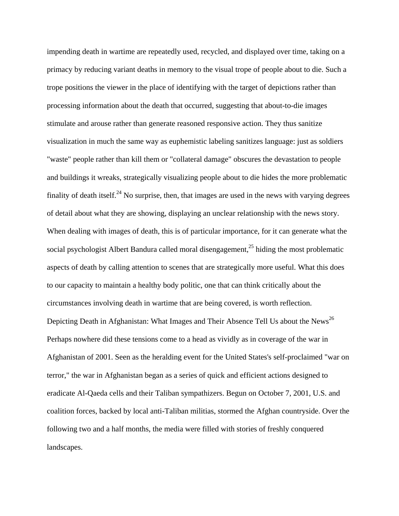impending death in wartime are repeatedly used, recycled, and displayed over time, taking on a primacy by reducing variant deaths in memory to the visual trope of people about to die. Such a trope positions the viewer in the place of identifying with the target of depictions rather than processing information about the death that occurred, suggesting that about-to-die images stimulate and arouse rather than generate reasoned responsive action. They thus sanitize visualization in much the same way as euphemistic labeling sanitizes language: just as soldiers "waste" people rather than kill them or "collateral damage" obscures the devastation to people and buildings it wreaks, strategically visualizing people about to die hides the more problematic finality of death itself.<sup>24</sup> No surprise, then, that images are used in the news with varying degrees of detail about what they are showing, displaying an unclear relationship with the news story. When dealing with images of death, this is of particular importance, for it can generate what the social psychologist Albert Bandura called moral disengagement,<sup>25</sup> hiding the most problematic aspects of death by calling attention to scenes that are strategically more useful. What this does to our capacity to maintain a healthy body politic, one that can think critically about the circumstances involving death in wartime that are being covered, is worth reflection. Depicting Death in Afghanistan: What Images and Their Absence Tell Us about the News<sup>26</sup> Perhaps nowhere did these tensions come to a head as vividly as in coverage of the war in Afghanistan of 2001. Seen as the heralding event for the United States's self-proclaimed "war on terror," the war in Afghanistan began as a series of quick and efficient actions designed to eradicate Al-Qaeda cells and their Taliban sympathizers. Begun on October 7, 2001, U.S. and coalition forces, backed by local anti-Taliban militias, stormed the Afghan countryside. Over the following two and a half months, the media were filled with stories of freshly conquered landscapes.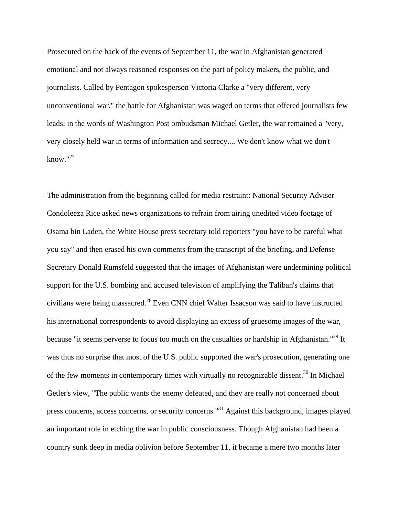Prosecuted on the back of the events of September 11, the war in Afghanistan generated emotional and not always reasoned responses on the part of policy makers, the public, and journalists. Called by Pentagon spokesperson Victoria Clarke a "very different, very unconventional war," the battle for Afghanistan was waged on terms that offered journalists few leads; in the words of Washington Post ombudsman Michael Getler, the war remained a "very, very closely held war in terms of information and secrecy.... We don't know what we don't know."<sup>27</sup>

The administration from the beginning called for media restraint: National Security Adviser Condoleeza Rice asked news organizations to refrain from airing unedited video footage of Osama bin Laden, the White House press secretary told reporters "you have to be careful what you say" and then erased his own comments from the transcript of the briefing, and Defense Secretary Donald Rumsfeld suggested that the images of Afghanistan were undermining political support for the U.S. bombing and accused television of amplifying the Taliban's claims that civilians were being massacred.28 Even CNN chief Walter Issacson was said to have instructed his international correspondents to avoid displaying an excess of gruesome images of the war, because "it seems perverse to focus too much on the casualties or hardship in Afghanistan."<sup>29</sup> It was thus no surprise that most of the U.S. public supported the war's prosecution, generating one of the few moments in contemporary times with virtually no recognizable dissent.<sup>30</sup> In Michael Getler's view, "The public wants the enemy defeated, and they are really not concerned about press concerns, access concerns, or security concerns."31 Against this background, images played an important role in etching the war in public consciousness. Though Afghanistan had been a country sunk deep in media oblivion before September 11, it became a mere two months later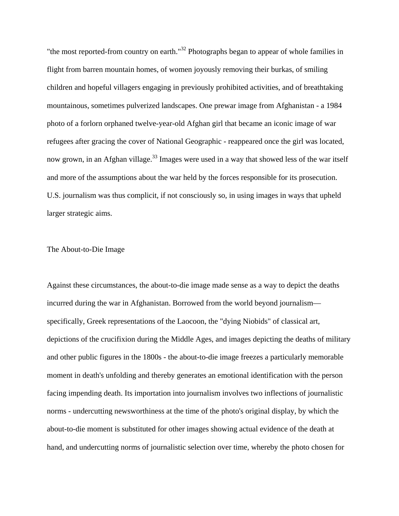"the most reported-from country on earth."<sup>32</sup> Photographs began to appear of whole families in flight from barren mountain homes, of women joyously removing their burkas, of smiling children and hopeful villagers engaging in previously prohibited activities, and of breathtaking mountainous, sometimes pulverized landscapes. One prewar image from Afghanistan - a 1984 photo of a forlorn orphaned twelve-year-old Afghan girl that became an iconic image of war refugees after gracing the cover of National Geographic - reappeared once the girl was located, now grown, in an Afghan village.<sup>33</sup> Images were used in a way that showed less of the war itself and more of the assumptions about the war held by the forces responsible for its prosecution. U.S. journalism was thus complicit, if not consciously so, in using images in ways that upheld larger strategic aims.

### The About-to-Die Image

Against these circumstances, the about-to-die image made sense as a way to depict the deaths incurred during the war in Afghanistan. Borrowed from the world beyond journalism specifically, Greek representations of the Laocoon, the "dying Niobids" of classical art, depictions of the crucifixion during the Middle Ages, and images depicting the deaths of military and other public figures in the 1800s - the about-to-die image freezes a particularly memorable moment in death's unfolding and thereby generates an emotional identification with the person facing impending death. Its importation into journalism involves two inflections of journalistic norms - undercutting newsworthiness at the time of the photo's original display, by which the about-to-die moment is substituted for other images showing actual evidence of the death at hand, and undercutting norms of journalistic selection over time, whereby the photo chosen for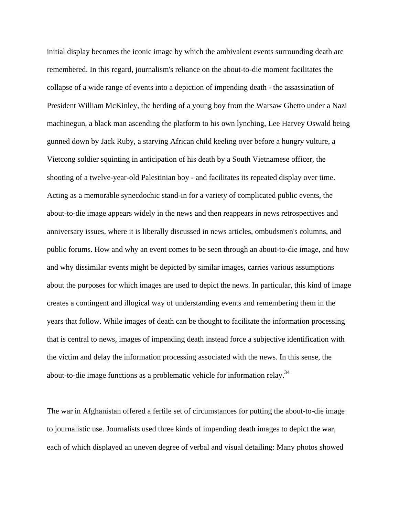initial display becomes the iconic image by which the ambivalent events surrounding death are remembered. In this regard, journalism's reliance on the about-to-die moment facilitates the collapse of a wide range of events into a depiction of impending death - the assassination of President William McKinley, the herding of a young boy from the Warsaw Ghetto under a Nazi machinegun, a black man ascending the platform to his own lynching, Lee Harvey Oswald being gunned down by Jack Ruby, a starving African child keeling over before a hungry vulture, a Vietcong soldier squinting in anticipation of his death by a South Vietnamese officer, the shooting of a twelve-year-old Palestinian boy - and facilitates its repeated display over time. Acting as a memorable synecdochic stand-in for a variety of complicated public events, the about-to-die image appears widely in the news and then reappears in news retrospectives and anniversary issues, where it is liberally discussed in news articles, ombudsmen's columns, and public forums. How and why an event comes to be seen through an about-to-die image, and how and why dissimilar events might be depicted by similar images, carries various assumptions about the purposes for which images are used to depict the news. In particular, this kind of image creates a contingent and illogical way of understanding events and remembering them in the years that follow. While images of death can be thought to facilitate the information processing that is central to news, images of impending death instead force a subjective identification with the victim and delay the information processing associated with the news. In this sense, the about-to-die image functions as a problematic vehicle for information relay.<sup>34</sup>

The war in Afghanistan offered a fertile set of circumstances for putting the about-to-die image to journalistic use. Journalists used three kinds of impending death images to depict the war, each of which displayed an uneven degree of verbal and visual detailing: Many photos showed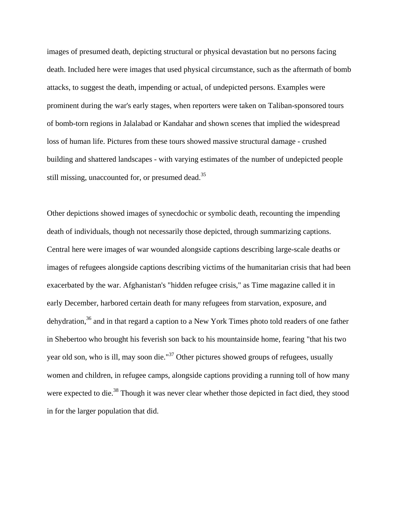images of presumed death, depicting structural or physical devastation but no persons facing death. Included here were images that used physical circumstance, such as the aftermath of bomb attacks, to suggest the death, impending or actual, of undepicted persons. Examples were prominent during the war's early stages, when reporters were taken on Taliban-sponsored tours of bomb-torn regions in Jalalabad or Kandahar and shown scenes that implied the widespread loss of human life. Pictures from these tours showed massive structural damage - crushed building and shattered landscapes - with varying estimates of the number of undepicted people still missing, unaccounted for, or presumed dead.<sup>35</sup>

Other depictions showed images of synecdochic or symbolic death, recounting the impending death of individuals, though not necessarily those depicted, through summarizing captions. Central here were images of war wounded alongside captions describing large-scale deaths or images of refugees alongside captions describing victims of the humanitarian crisis that had been exacerbated by the war. Afghanistan's "hidden refugee crisis," as Time magazine called it in early December, harbored certain death for many refugees from starvation, exposure, and dehydration,36 and in that regard a caption to a New York Times photo told readers of one father in Shebertoo who brought his feverish son back to his mountainside home, fearing "that his two year old son, who is ill, may soon die."<sup>37</sup> Other pictures showed groups of refugees, usually women and children, in refugee camps, alongside captions providing a running toll of how many were expected to die.<sup>38</sup> Though it was never clear whether those depicted in fact died, they stood in for the larger population that did.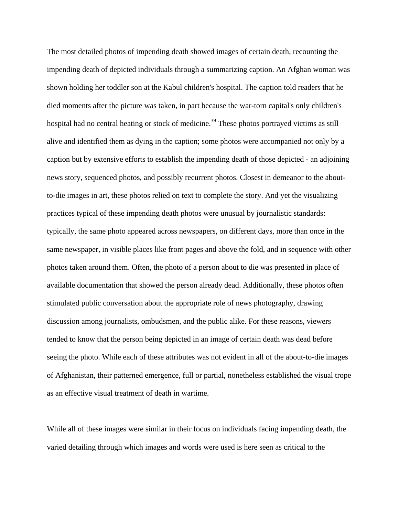The most detailed photos of impending death showed images of certain death, recounting the impending death of depicted individuals through a summarizing caption. An Afghan woman was shown holding her toddler son at the Kabul children's hospital. The caption told readers that he died moments after the picture was taken, in part because the war-torn capital's only children's hospital had no central heating or stock of medicine.<sup>39</sup> These photos portrayed victims as still alive and identified them as dying in the caption; some photos were accompanied not only by a caption but by extensive efforts to establish the impending death of those depicted - an adjoining news story, sequenced photos, and possibly recurrent photos. Closest in demeanor to the aboutto-die images in art, these photos relied on text to complete the story. And yet the visualizing practices typical of these impending death photos were unusual by journalistic standards: typically, the same photo appeared across newspapers, on different days, more than once in the same newspaper, in visible places like front pages and above the fold, and in sequence with other photos taken around them. Often, the photo of a person about to die was presented in place of available documentation that showed the person already dead. Additionally, these photos often stimulated public conversation about the appropriate role of news photography, drawing discussion among journalists, ombudsmen, and the public alike. For these reasons, viewers tended to know that the person being depicted in an image of certain death was dead before seeing the photo. While each of these attributes was not evident in all of the about-to-die images of Afghanistan, their patterned emergence, full or partial, nonetheless established the visual trope as an effective visual treatment of death in wartime.

While all of these images were similar in their focus on individuals facing impending death, the varied detailing through which images and words were used is here seen as critical to the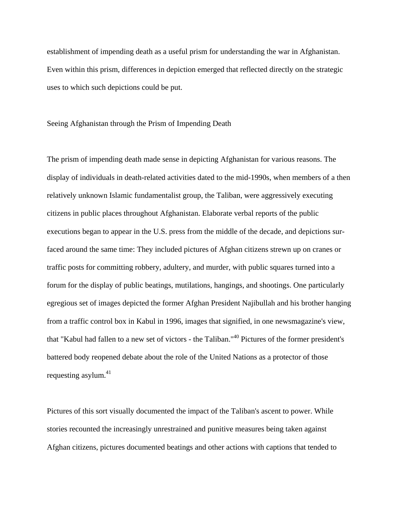establishment of impending death as a useful prism for understanding the war in Afghanistan. Even within this prism, differences in depiction emerged that reflected directly on the strategic uses to which such depictions could be put.

### Seeing Afghanistan through the Prism of Impending Death

The prism of impending death made sense in depicting Afghanistan for various reasons. The display of individuals in death-related activities dated to the mid-1990s, when members of a then relatively unknown Islamic fundamentalist group, the Taliban, were aggressively executing citizens in public places throughout Afghanistan. Elaborate verbal reports of the public executions began to appear in the U.S. press from the middle of the decade, and depictions surfaced around the same time: They included pictures of Afghan citizens strewn up on cranes or traffic posts for committing robbery, adultery, and murder, with public squares turned into a forum for the display of public beatings, mutilations, hangings, and shootings. One particularly egregious set of images depicted the former Afghan President Najibullah and his brother hanging from a traffic control box in Kabul in 1996, images that signified, in one newsmagazine's view, that "Kabul had fallen to a new set of victors - the Taliban."40 Pictures of the former president's battered body reopened debate about the role of the United Nations as a protector of those requesting asylum. $41$ 

Pictures of this sort visually documented the impact of the Taliban's ascent to power. While stories recounted the increasingly unrestrained and punitive measures being taken against Afghan citizens, pictures documented beatings and other actions with captions that tended to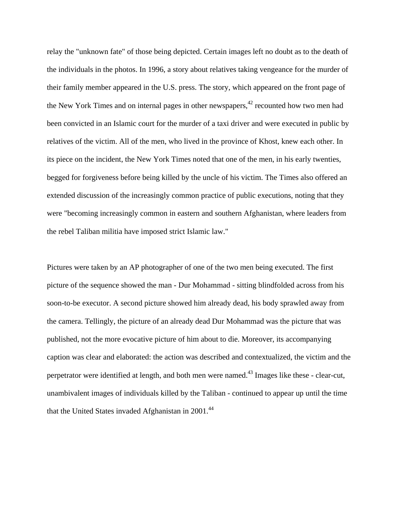relay the "unknown fate" of those being depicted. Certain images left no doubt as to the death of the individuals in the photos. In 1996, a story about relatives taking vengeance for the murder of their family member appeared in the U.S. press. The story, which appeared on the front page of the New York Times and on internal pages in other newspapers,  $42$  recounted how two men had been convicted in an Islamic court for the murder of a taxi driver and were executed in public by relatives of the victim. All of the men, who lived in the province of Khost, knew each other. In its piece on the incident, the New York Times noted that one of the men, in his early twenties, begged for forgiveness before being killed by the uncle of his victim. The Times also offered an extended discussion of the increasingly common practice of public executions, noting that they were "becoming increasingly common in eastern and southern Afghanistan, where leaders from the rebel Taliban militia have imposed strict Islamic law."

Pictures were taken by an AP photographer of one of the two men being executed. The first picture of the sequence showed the man - Dur Mohammad - sitting blindfolded across from his soon-to-be executor. A second picture showed him already dead, his body sprawled away from the camera. Tellingly, the picture of an already dead Dur Mohammad was the picture that was published, not the more evocative picture of him about to die. Moreover, its accompanying caption was clear and elaborated: the action was described and contextualized, the victim and the perpetrator were identified at length, and both men were named.43 Images like these - clear-cut, unambivalent images of individuals killed by the Taliban - continued to appear up until the time that the United States invaded Afghanistan in 2001.<sup>44</sup>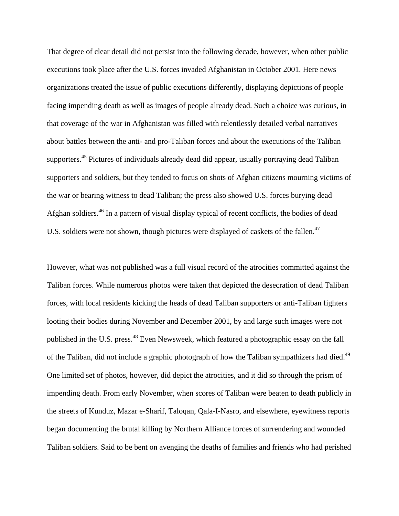That degree of clear detail did not persist into the following decade, however, when other public executions took place after the U.S. forces invaded Afghanistan in October 2001. Here news organizations treated the issue of public executions differently, displaying depictions of people facing impending death as well as images of people already dead. Such a choice was curious, in that coverage of the war in Afghanistan was filled with relentlessly detailed verbal narratives about battles between the anti- and pro-Taliban forces and about the executions of the Taliban supporters.<sup>45</sup> Pictures of individuals already dead did appear, usually portraying dead Taliban supporters and soldiers, but they tended to focus on shots of Afghan citizens mourning victims of the war or bearing witness to dead Taliban; the press also showed U.S. forces burying dead Afghan soldiers.<sup>46</sup> In a pattern of visual display typical of recent conflicts, the bodies of dead U.S. soldiers were not shown, though pictures were displayed of caskets of the fallen.<sup>47</sup>

However, what was not published was a full visual record of the atrocities committed against the Taliban forces. While numerous photos were taken that depicted the desecration of dead Taliban forces, with local residents kicking the heads of dead Taliban supporters or anti-Taliban fighters looting their bodies during November and December 2001, by and large such images were not published in the U.S. press.<sup>48</sup> Even Newsweek, which featured a photographic essay on the fall of the Taliban, did not include a graphic photograph of how the Taliban sympathizers had died.<sup>49</sup> One limited set of photos, however, did depict the atrocities, and it did so through the prism of impending death. From early November, when scores of Taliban were beaten to death publicly in the streets of Kunduz, Mazar e-Sharif, Taloqan, Qala-I-Nasro, and elsewhere, eyewitness reports began documenting the brutal killing by Northern Alliance forces of surrendering and wounded Taliban soldiers. Said to be bent on avenging the deaths of families and friends who had perished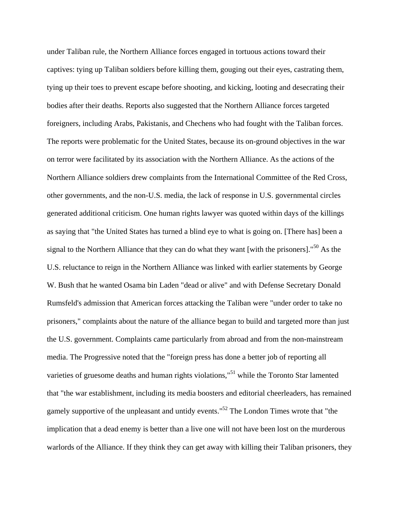under Taliban rule, the Northern Alliance forces engaged in tortuous actions toward their captives: tying up Taliban soldiers before killing them, gouging out their eyes, castrating them, tying up their toes to prevent escape before shooting, and kicking, looting and desecrating their bodies after their deaths. Reports also suggested that the Northern Alliance forces targeted foreigners, including Arabs, Pakistanis, and Chechens who had fought with the Taliban forces. The reports were problematic for the United States, because its on-ground objectives in the war on terror were facilitated by its association with the Northern Alliance. As the actions of the Northern Alliance soldiers drew complaints from the International Committee of the Red Cross, other governments, and the non-U.S. media, the lack of response in U.S. governmental circles generated additional criticism. One human rights lawyer was quoted within days of the killings as saying that "the United States has turned a blind eye to what is going on. [There has] been a signal to the Northern Alliance that they can do what they want [with the prisoners]."50 As the U.S. reluctance to reign in the Northern Alliance was linked with earlier statements by George W. Bush that he wanted Osama bin Laden "dead or alive" and with Defense Secretary Donald Rumsfeld's admission that American forces attacking the Taliban were "under order to take no prisoners," complaints about the nature of the alliance began to build and targeted more than just the U.S. government. Complaints came particularly from abroad and from the non-mainstream media. The Progressive noted that the "foreign press has done a better job of reporting all varieties of gruesome deaths and human rights violations,"<sup>51</sup> while the Toronto Star lamented that "the war establishment, including its media boosters and editorial cheerleaders, has remained gamely supportive of the unpleasant and untidy events."52 The London Times wrote that "the implication that a dead enemy is better than a live one will not have been lost on the murderous warlords of the Alliance. If they think they can get away with killing their Taliban prisoners, they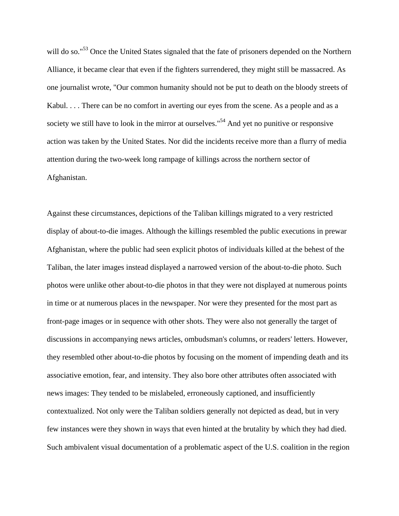will do so."<sup>53</sup> Once the United States signaled that the fate of prisoners depended on the Northern Alliance, it became clear that even if the fighters surrendered, they might still be massacred. As one journalist wrote, "Our common humanity should not be put to death on the bloody streets of Kabul. . . . There can be no comfort in averting our eyes from the scene. As a people and as a society we still have to look in the mirror at ourselves."<sup>54</sup> And yet no punitive or responsive action was taken by the United States. Nor did the incidents receive more than a flurry of media attention during the two-week long rampage of killings across the northern sector of Afghanistan.

Against these circumstances, depictions of the Taliban killings migrated to a very restricted display of about-to-die images. Although the killings resembled the public executions in prewar Afghanistan, where the public had seen explicit photos of individuals killed at the behest of the Taliban, the later images instead displayed a narrowed version of the about-to-die photo. Such photos were unlike other about-to-die photos in that they were not displayed at numerous points in time or at numerous places in the newspaper. Nor were they presented for the most part as front-page images or in sequence with other shots. They were also not generally the target of discussions in accompanying news articles, ombudsman's columns, or readers' letters. However, they resembled other about-to-die photos by focusing on the moment of impending death and its associative emotion, fear, and intensity. They also bore other attributes often associated with news images: They tended to be mislabeled, erroneously captioned, and insufficiently contextualized. Not only were the Taliban soldiers generally not depicted as dead, but in very few instances were they shown in ways that even hinted at the brutality by which they had died. Such ambivalent visual documentation of a problematic aspect of the U.S. coalition in the region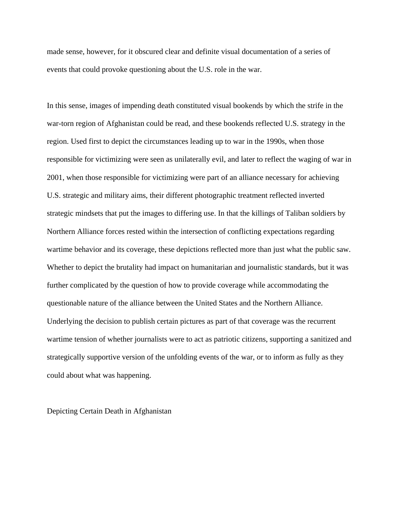made sense, however, for it obscured clear and definite visual documentation of a series of events that could provoke questioning about the U.S. role in the war.

In this sense, images of impending death constituted visual bookends by which the strife in the war-torn region of Afghanistan could be read, and these bookends reflected U.S. strategy in the region. Used first to depict the circumstances leading up to war in the 1990s, when those responsible for victimizing were seen as unilaterally evil, and later to reflect the waging of war in 2001, when those responsible for victimizing were part of an alliance necessary for achieving U.S. strategic and military aims, their different photographic treatment reflected inverted strategic mindsets that put the images to differing use. In that the killings of Taliban soldiers by Northern Alliance forces rested within the intersection of conflicting expectations regarding wartime behavior and its coverage, these depictions reflected more than just what the public saw. Whether to depict the brutality had impact on humanitarian and journalistic standards, but it was further complicated by the question of how to provide coverage while accommodating the questionable nature of the alliance between the United States and the Northern Alliance. Underlying the decision to publish certain pictures as part of that coverage was the recurrent wartime tension of whether journalists were to act as patriotic citizens, supporting a sanitized and strategically supportive version of the unfolding events of the war, or to inform as fully as they could about what was happening.

Depicting Certain Death in Afghanistan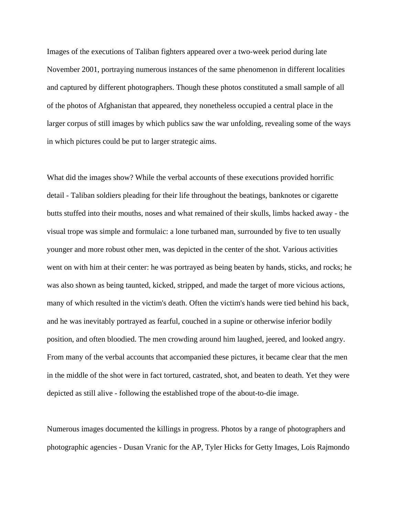Images of the executions of Taliban fighters appeared over a two-week period during late November 2001, portraying numerous instances of the same phenomenon in different localities and captured by different photographers. Though these photos constituted a small sample of all of the photos of Afghanistan that appeared, they nonetheless occupied a central place in the larger corpus of still images by which publics saw the war unfolding, revealing some of the ways in which pictures could be put to larger strategic aims.

What did the images show? While the verbal accounts of these executions provided horrific detail - Taliban soldiers pleading for their life throughout the beatings, banknotes or cigarette butts stuffed into their mouths, noses and what remained of their skulls, limbs hacked away - the visual trope was simple and formulaic: a lone turbaned man, surrounded by five to ten usually younger and more robust other men, was depicted in the center of the shot. Various activities went on with him at their center: he was portrayed as being beaten by hands, sticks, and rocks; he was also shown as being taunted, kicked, stripped, and made the target of more vicious actions, many of which resulted in the victim's death. Often the victim's hands were tied behind his back, and he was inevitably portrayed as fearful, couched in a supine or otherwise inferior bodily position, and often bloodied. The men crowding around him laughed, jeered, and looked angry. From many of the verbal accounts that accompanied these pictures, it became clear that the men in the middle of the shot were in fact tortured, castrated, shot, and beaten to death. Yet they were depicted as still alive - following the established trope of the about-to-die image.

Numerous images documented the killings in progress. Photos by a range of photographers and photographic agencies - Dusan Vranic for the AP, Tyler Hicks for Getty Images, Lois Rajmondo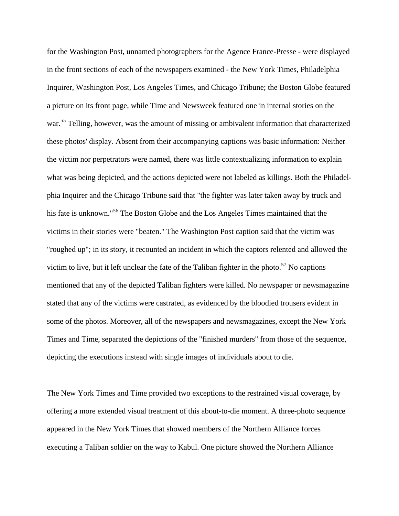for the Washington Post, unnamed photographers for the Agence France-Presse - were displayed in the front sections of each of the newspapers examined - the New York Times, Philadelphia Inquirer, Washington Post, Los Angeles Times, and Chicago Tribune; the Boston Globe featured a picture on its front page, while Time and Newsweek featured one in internal stories on the war.<sup>55</sup> Telling, however, was the amount of missing or ambivalent information that characterized these photos' display. Absent from their accompanying captions was basic information: Neither the victim nor perpetrators were named, there was little contextualizing information to explain what was being depicted, and the actions depicted were not labeled as killings. Both the Philadelphia Inquirer and the Chicago Tribune said that "the fighter was later taken away by truck and his fate is unknown."<sup>56</sup> The Boston Globe and the Los Angeles Times maintained that the victims in their stories were "beaten." The Washington Post caption said that the victim was "roughed up"; in its story, it recounted an incident in which the captors relented and allowed the victim to live, but it left unclear the fate of the Taliban fighter in the photo.<sup>57</sup> No captions mentioned that any of the depicted Taliban fighters were killed. No newspaper or newsmagazine stated that any of the victims were castrated, as evidenced by the bloodied trousers evident in some of the photos. Moreover, all of the newspapers and newsmagazines, except the New York Times and Time, separated the depictions of the "finished murders" from those of the sequence, depicting the executions instead with single images of individuals about to die.

The New York Times and Time provided two exceptions to the restrained visual coverage, by offering a more extended visual treatment of this about-to-die moment. A three-photo sequence appeared in the New York Times that showed members of the Northern Alliance forces executing a Taliban soldier on the way to Kabul. One picture showed the Northern Alliance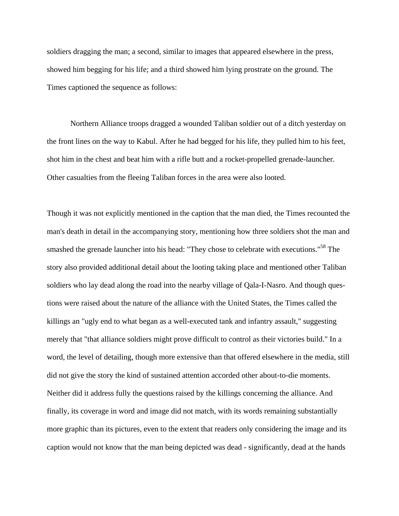soldiers dragging the man; a second, similar to images that appeared elsewhere in the press, showed him begging for his life; and a third showed him lying prostrate on the ground. The Times captioned the sequence as follows:

Northern Alliance troops dragged a wounded Taliban soldier out of a ditch yesterday on the front lines on the way to Kabul. After he had begged for his life, they pulled him to his feet, shot him in the chest and beat him with a rifle butt and a rocket-propelled grenade-launcher. Other casualties from the fleeing Taliban forces in the area were also looted.

Though it was not explicitly mentioned in the caption that the man died, the Times recounted the man's death in detail in the accompanying story, mentioning how three soldiers shot the man and smashed the grenade launcher into his head: "They chose to celebrate with executions."<sup>58</sup> The story also provided additional detail about the looting taking place and mentioned other Taliban soldiers who lay dead along the road into the nearby village of Qala-I-Nasro. And though questions were raised about the nature of the alliance with the United States, the Times called the killings an "ugly end to what began as a well-executed tank and infantry assault," suggesting merely that "that alliance soldiers might prove difficult to control as their victories build." In a word, the level of detailing, though more extensive than that offered elsewhere in the media, still did not give the story the kind of sustained attention accorded other about-to-die moments. Neither did it address fully the questions raised by the killings concerning the alliance. And finally, its coverage in word and image did not match, with its words remaining substantially more graphic than its pictures, even to the extent that readers only considering the image and its caption would not know that the man being depicted was dead - significantly, dead at the hands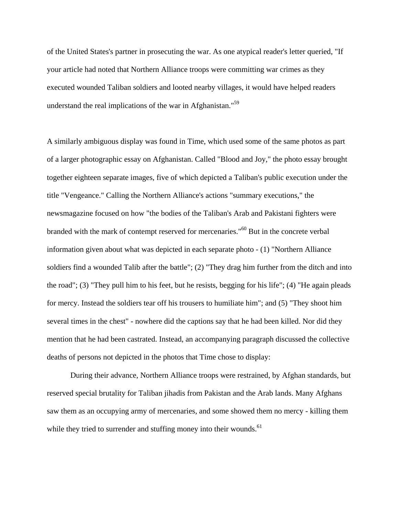of the United States's partner in prosecuting the war. As one atypical reader's letter queried, "If your article had noted that Northern Alliance troops were committing war crimes as they executed wounded Taliban soldiers and looted nearby villages, it would have helped readers understand the real implications of the war in Afghanistan."59

A similarly ambiguous display was found in Time, which used some of the same photos as part of a larger photographic essay on Afghanistan. Called "Blood and Joy," the photo essay brought together eighteen separate images, five of which depicted a Taliban's public execution under the title "Vengeance." Calling the Northern Alliance's actions "summary executions," the newsmagazine focused on how "the bodies of the Taliban's Arab and Pakistani fighters were branded with the mark of contempt reserved for mercenaries."60 But in the concrete verbal information given about what was depicted in each separate photo - (1) "Northern Alliance soldiers find a wounded Talib after the battle"; (2) "They drag him further from the ditch and into the road"; (3) "They pull him to his feet, but he resists, begging for his life"; (4) "He again pleads for mercy. Instead the soldiers tear off his trousers to humiliate him"; and (5) "They shoot him several times in the chest" - nowhere did the captions say that he had been killed. Nor did they mention that he had been castrated. Instead, an accompanying paragraph discussed the collective deaths of persons not depicted in the photos that Time chose to display:

During their advance, Northern Alliance troops were restrained, by Afghan standards, but reserved special brutality for Taliban jihadis from Pakistan and the Arab lands. Many Afghans saw them as an occupying army of mercenaries, and some showed them no mercy - killing them while they tried to surrender and stuffing money into their wounds.<sup>61</sup>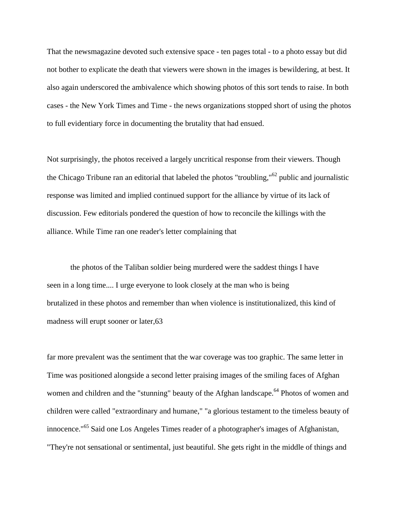That the newsmagazine devoted such extensive space - ten pages total - to a photo essay but did not bother to explicate the death that viewers were shown in the images is bewildering, at best. It also again underscored the ambivalence which showing photos of this sort tends to raise. In both cases - the New York Times and Time - the news organizations stopped short of using the photos to full evidentiary force in documenting the brutality that had ensued.

Not surprisingly, the photos received a largely uncritical response from their viewers. Though the Chicago Tribune ran an editorial that labeled the photos "troubling,"62 public and journalistic response was limited and implied continued support for the alliance by virtue of its lack of discussion. Few editorials pondered the question of how to reconcile the killings with the alliance. While Time ran one reader's letter complaining that

the photos of the Taliban soldier being murdered were the saddest things I have seen in a long time.... I urge everyone to look closely at the man who is being brutalized in these photos and remember than when violence is institutionalized, this kind of madness will erupt sooner or later,63

far more prevalent was the sentiment that the war coverage was too graphic. The same letter in Time was positioned alongside a second letter praising images of the smiling faces of Afghan women and children and the "stunning" beauty of the Afghan landscape.<sup>64</sup> Photos of women and children were called "extraordinary and humane," "a glorious testament to the timeless beauty of innocence."65 Said one Los Angeles Times reader of a photographer's images of Afghanistan, "They're not sensational or sentimental, just beautiful. She gets right in the middle of things and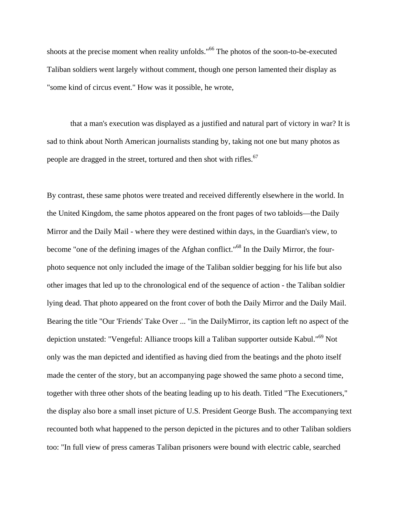shoots at the precise moment when reality unfolds."66 The photos of the soon-to-be-executed Taliban soldiers went largely without comment, though one person lamented their display as "some kind of circus event." How was it possible, he wrote,

that a man's execution was displayed as a justified and natural part of victory in war? It is sad to think about North American journalists standing by, taking not one but many photos as people are dragged in the street, tortured and then shot with rifles.<sup>67</sup>

By contrast, these same photos were treated and received differently elsewhere in the world. In the United Kingdom, the same photos appeared on the front pages of two tabloids—the Daily Mirror and the Daily Mail - where they were destined within days, in the Guardian's view, to become "one of the defining images of the Afghan conflict."<sup>68</sup> In the Daily Mirror, the fourphoto sequence not only included the image of the Taliban soldier begging for his life but also other images that led up to the chronological end of the sequence of action - the Taliban soldier lying dead. That photo appeared on the front cover of both the Daily Mirror and the Daily Mail. Bearing the title "Our 'Friends' Take Over ... "in the DailyMirror, its caption left no aspect of the depiction unstated: "Vengeful: Alliance troops kill a Taliban supporter outside Kabul."<sup>69</sup> Not only was the man depicted and identified as having died from the beatings and the photo itself made the center of the story, but an accompanying page showed the same photo a second time, together with three other shots of the beating leading up to his death. Titled "The Executioners," the display also bore a small inset picture of U.S. President George Bush. The accompanying text recounted both what happened to the person depicted in the pictures and to other Taliban soldiers too: "In full view of press cameras Taliban prisoners were bound with electric cable, searched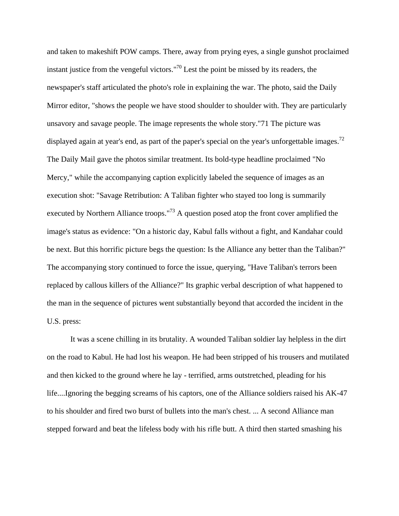and taken to makeshift POW camps. There, away from prying eyes, a single gunshot proclaimed instant justice from the vengeful victors."<sup>70</sup> Lest the point be missed by its readers, the newspaper's staff articulated the photo's role in explaining the war. The photo, said the Daily Mirror editor, "shows the people we have stood shoulder to shoulder with. They are particularly unsavory and savage people. The image represents the whole story."71 The picture was displayed again at year's end, as part of the paper's special on the year's unforgettable images.<sup>72</sup> The Daily Mail gave the photos similar treatment. Its bold-type headline proclaimed "No Mercy," while the accompanying caption explicitly labeled the sequence of images as an execution shot: "Savage Retribution: A Taliban fighter who stayed too long is summarily executed by Northern Alliance troops."<sup>73</sup> A question posed atop the front cover amplified the image's status as evidence: "On a historic day, Kabul falls without a fight, and Kandahar could be next. But this horrific picture begs the question: Is the Alliance any better than the Taliban?" The accompanying story continued to force the issue, querying, "Have Taliban's terrors been replaced by callous killers of the Alliance?" Its graphic verbal description of what happened to the man in the sequence of pictures went substantially beyond that accorded the incident in the U.S. press:

It was a scene chilling in its brutality. A wounded Taliban soldier lay helpless in the dirt on the road to Kabul. He had lost his weapon. He had been stripped of his trousers and mutilated and then kicked to the ground where he lay - terrified, arms outstretched, pleading for his life....Ignoring the begging screams of his captors, one of the Alliance soldiers raised his AK-47 to his shoulder and fired two burst of bullets into the man's chest. ... A second Alliance man stepped forward and beat the lifeless body with his rifle butt. A third then started smashing his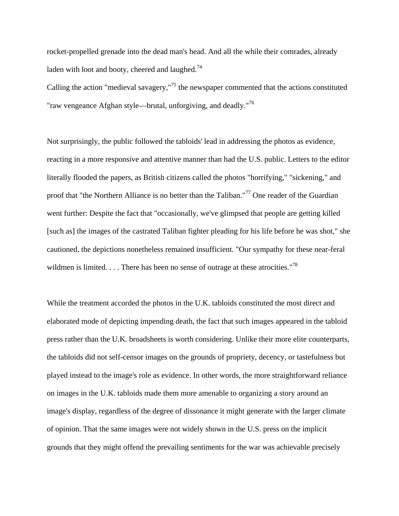rocket-propelled grenade into the dead man's head. And all the while their comrades, already laden with loot and booty, cheered and laughed.<sup>74</sup>

Calling the action "medieval savagery,"<sup>75</sup> the newspaper commented that the actions constituted "raw vengeance Afghan style—brutal, unforgiving, and deadly."<sup>76</sup>

Not surprisingly, the public followed the tabloids' lead in addressing the photos as evidence, reacting in a more responsive and attentive manner than had the U.S. public. Letters to the editor literally flooded the papers, as British citizens called the photos "horrifying," "sickening," and proof that "the Northern Alliance is no better than the Taliban."<sup>77</sup> One reader of the Guardian went further: Despite the fact that "occasionally, we've glimpsed that people are getting killed [such as] the images of the castrated Taliban fighter pleading for his life before he was shot," she cautioned, the depictions nonetheless remained insufficient. "Our sympathy for these near-feral wildmen is limited.  $\ldots$  There has been no sense of outrage at these atrocities."<sup>78</sup>

While the treatment accorded the photos in the U.K. tabloids constituted the most direct and elaborated mode of depicting impending death, the fact that such images appeared in the tabloid press rather than the U.K. broadsheets is worth considering. Unlike their more elite counterparts, the tabloids did not self-censor images on the grounds of propriety, decency, or tastefulness but played instead to the image's role as evidence. In other words, the more straightforward reliance on images in the U.K. tabloids made them more amenable to organizing a story around an image's display, regardless of the degree of dissonance it might generate with the larger climate of opinion. That the same images were not widely shown in the U.S. press on the implicit grounds that they might offend the prevailing sentiments for the war was achievable precisely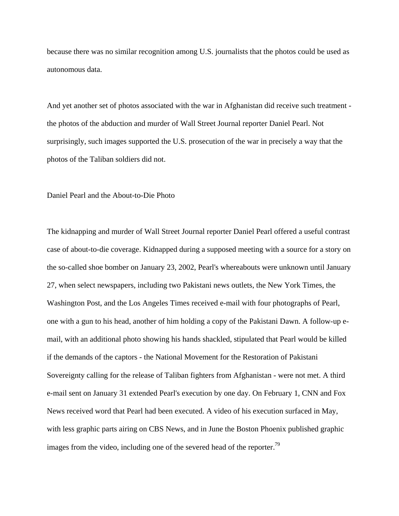because there was no similar recognition among U.S. journalists that the photos could be used as autonomous data.

And yet another set of photos associated with the war in Afghanistan did receive such treatment the photos of the abduction and murder of Wall Street Journal reporter Daniel Pearl. Not surprisingly, such images supported the U.S. prosecution of the war in precisely a way that the photos of the Taliban soldiers did not.

Daniel Pearl and the About-to-Die Photo

The kidnapping and murder of Wall Street Journal reporter Daniel Pearl offered a useful contrast case of about-to-die coverage. Kidnapped during a supposed meeting with a source for a story on the so-called shoe bomber on January 23, 2002, Pearl's whereabouts were unknown until January 27, when select newspapers, including two Pakistani news outlets, the New York Times, the Washington Post, and the Los Angeles Times received e-mail with four photographs of Pearl, one with a gun to his head, another of him holding a copy of the Pakistani Dawn. A follow-up email, with an additional photo showing his hands shackled, stipulated that Pearl would be killed if the demands of the captors - the National Movement for the Restoration of Pakistani Sovereignty calling for the release of Taliban fighters from Afghanistan - were not met. A third e-mail sent on January 31 extended Pearl's execution by one day. On February 1, CNN and Fox News received word that Pearl had been executed. A video of his execution surfaced in May, with less graphic parts airing on CBS News, and in June the Boston Phoenix published graphic images from the video, including one of the severed head of the reporter.<sup>79</sup>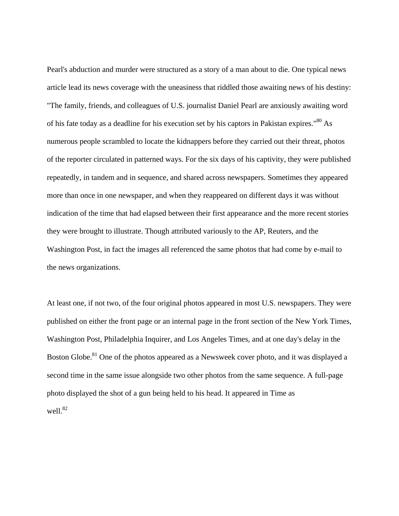Pearl's abduction and murder were structured as a story of a man about to die. One typical news article lead its news coverage with the uneasiness that riddled those awaiting news of his destiny: "The family, friends, and colleagues of U.S. journalist Daniel Pearl are anxiously awaiting word of his fate today as a deadline for his execution set by his captors in Pakistan expires."<sup>80</sup> As numerous people scrambled to locate the kidnappers before they carried out their threat, photos of the reporter circulated in patterned ways. For the six days of his captivity, they were published repeatedly, in tandem and in sequence, and shared across newspapers. Sometimes they appeared more than once in one newspaper, and when they reappeared on different days it was without indication of the time that had elapsed between their first appearance and the more recent stories they were brought to illustrate. Though attributed variously to the AP, Reuters, and the Washington Post, in fact the images all referenced the same photos that had come by e-mail to the news organizations.

At least one, if not two, of the four original photos appeared in most U.S. newspapers. They were published on either the front page or an internal page in the front section of the New York Times, Washington Post, Philadelphia Inquirer, and Los Angeles Times, and at one day's delay in the Boston Globe.<sup>81</sup> One of the photos appeared as a Newsweek cover photo, and it was displayed a second time in the same issue alongside two other photos from the same sequence. A full-page photo displayed the shot of a gun being held to his head. It appeared in Time as well.<sup>82</sup>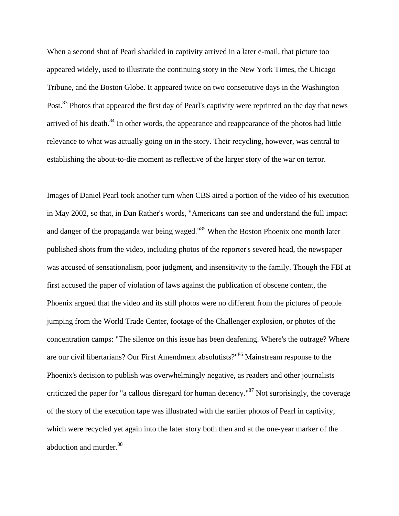When a second shot of Pearl shackled in captivity arrived in a later e-mail, that picture too appeared widely, used to illustrate the continuing story in the New York Times, the Chicago Tribune, and the Boston Globe. It appeared twice on two consecutive days in the Washington Post.<sup>83</sup> Photos that appeared the first day of Pearl's captivity were reprinted on the day that news arrived of his death. $84$  In other words, the appearance and reappearance of the photos had little relevance to what was actually going on in the story. Their recycling, however, was central to establishing the about-to-die moment as reflective of the larger story of the war on terror.

Images of Daniel Pearl took another turn when CBS aired a portion of the video of his execution in May 2002, so that, in Dan Rather's words, "Americans can see and understand the full impact and danger of the propaganda war being waged."85 When the Boston Phoenix one month later published shots from the video, including photos of the reporter's severed head, the newspaper was accused of sensationalism, poor judgment, and insensitivity to the family. Though the FBI at first accused the paper of violation of laws against the publication of obscene content, the Phoenix argued that the video and its still photos were no different from the pictures of people jumping from the World Trade Center, footage of the Challenger explosion, or photos of the concentration camps: "The silence on this issue has been deafening. Where's the outrage? Where are our civil libertarians? Our First Amendment absolutists?"<sup>86</sup> Mainstream response to the Phoenix's decision to publish was overwhelmingly negative, as readers and other journalists criticized the paper for "a callous disregard for human decency."87 Not surprisingly, the coverage of the story of the execution tape was illustrated with the earlier photos of Pearl in captivity, which were recycled yet again into the later story both then and at the one-year marker of the abduction and murder.<sup>88</sup>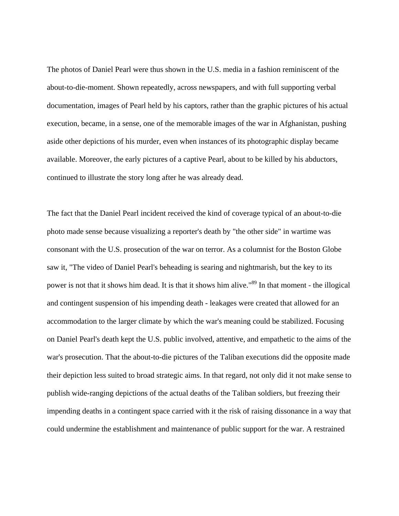The photos of Daniel Pearl were thus shown in the U.S. media in a fashion reminiscent of the about-to-die-moment. Shown repeatedly, across newspapers, and with full supporting verbal documentation, images of Pearl held by his captors, rather than the graphic pictures of his actual execution, became, in a sense, one of the memorable images of the war in Afghanistan, pushing aside other depictions of his murder, even when instances of its photographic display became available. Moreover, the early pictures of a captive Pearl, about to be killed by his abductors, continued to illustrate the story long after he was already dead.

The fact that the Daniel Pearl incident received the kind of coverage typical of an about-to-die photo made sense because visualizing a reporter's death by "the other side" in wartime was consonant with the U.S. prosecution of the war on terror. As a columnist for the Boston Globe saw it, "The video of Daniel Pearl's beheading is searing and nightmarish, but the key to its power is not that it shows him dead. It is that it shows him alive."<sup>89</sup> In that moment - the illogical and contingent suspension of his impending death - leakages were created that allowed for an accommodation to the larger climate by which the war's meaning could be stabilized. Focusing on Daniel Pearl's death kept the U.S. public involved, attentive, and empathetic to the aims of the war's prosecution. That the about-to-die pictures of the Taliban executions did the opposite made their depiction less suited to broad strategic aims. In that regard, not only did it not make sense to publish wide-ranging depictions of the actual deaths of the Taliban soldiers, but freezing their impending deaths in a contingent space carried with it the risk of raising dissonance in a way that could undermine the establishment and maintenance of public support for the war. A restrained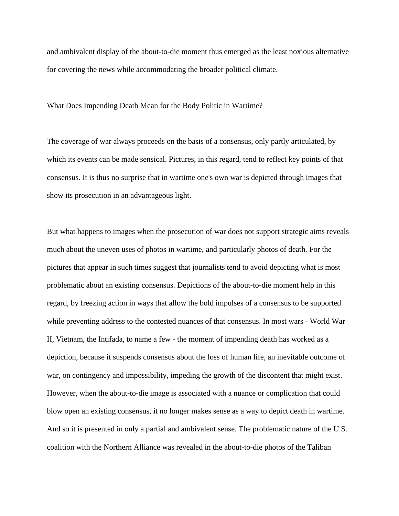and ambivalent display of the about-to-die moment thus emerged as the least noxious alternative for covering the news while accommodating the broader political climate.

What Does Impending Death Mean for the Body Politic in Wartime?

The coverage of war always proceeds on the basis of a consensus, only partly articulated, by which its events can be made sensical. Pictures, in this regard, tend to reflect key points of that consensus. It is thus no surprise that in wartime one's own war is depicted through images that show its prosecution in an advantageous light.

But what happens to images when the prosecution of war does not support strategic aims reveals much about the uneven uses of photos in wartime, and particularly photos of death. For the pictures that appear in such times suggest that journalists tend to avoid depicting what is most problematic about an existing consensus. Depictions of the about-to-die moment help in this regard, by freezing action in ways that allow the bold impulses of a consensus to be supported while preventing address to the contested nuances of that consensus. In most wars - World War II, Vietnam, the Intifada, to name a few - the moment of impending death has worked as a depiction, because it suspends consensus about the loss of human life, an inevitable outcome of war, on contingency and impossibility, impeding the growth of the discontent that might exist. However, when the about-to-die image is associated with a nuance or complication that could blow open an existing consensus, it no longer makes sense as a way to depict death in wartime. And so it is presented in only a partial and ambivalent sense. The problematic nature of the U.S. coalition with the Northern Alliance was revealed in the about-to-die photos of the Taliban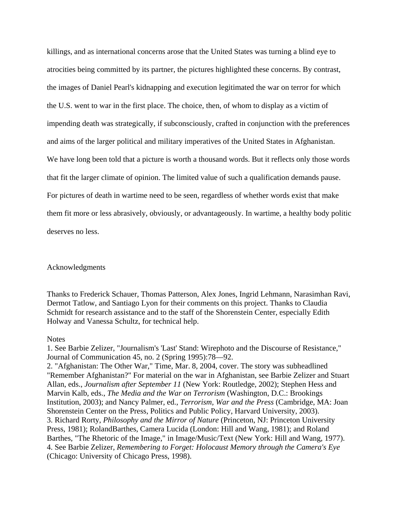killings, and as international concerns arose that the United States was turning a blind eye to atrocities being committed by its partner, the pictures highlighted these concerns. By contrast, the images of Daniel Pearl's kidnapping and execution legitimated the war on terror for which the U.S. went to war in the first place. The choice, then, of whom to display as a victim of impending death was strategically, if subconsciously, crafted in conjunction with the preferences and aims of the larger political and military imperatives of the United States in Afghanistan. We have long been told that a picture is worth a thousand words. But it reflects only those words that fit the larger climate of opinion. The limited value of such a qualification demands pause. For pictures of death in wartime need to be seen, regardless of whether words exist that make them fit more or less abrasively, obviously, or advantageously. In wartime, a healthy body politic deserves no less.

### Acknowledgments

Thanks to Frederick Schauer, Thomas Patterson, Alex Jones, Ingrid Lehmann, Narasimhan Ravi, Dermot Tatlow, and Santiago Lyon for their comments on this project. Thanks to Claudia Schmidt for research assistance and to the staff of the Shorenstein Center, especially Edith Holway and Vanessa Schultz, for technical help.

#### **Notes**

1. See Barbie Zelizer, "Journalism's 'Last' Stand: Wirephoto and the Discourse of Resistance," Journal of Communication 45, no. 2 (Spring 1995):78—92.

2. "Afghanistan: The Other War," Time, Mar. 8, 2004, cover. The story was subheadlined "Remember Afghanistan?" For material on the war in Afghanistan, see Barbie Zelizer and Stuart Allan, eds., *Journalism after September 11* (New York: Routledge, 2002); Stephen Hess and Marvin Kalb, eds., *The Media and the War on Terrorism* (Washington, D.C.: Brookings Institution, 2003); and Nancy Palmer, ed., *Terrorism, War and the Press* (Cambridge, MA: Joan Shorenstein Center on the Press, Politics and Public Policy, Harvard University, 2003). 3. Richard Rorty, *Philosophy and the Mirror of Nature* (Princeton, NJ: Princeton University Press, 1981); RolandBarthes, Camera Lucida (London: Hill and Wang, 1981); and Roland Barthes, "The Rhetoric of the Image," in Image/Music/Text (New York: Hill and Wang, 1977). 4. See Barbie Zelizer, *Remembering to Forget: Holocaust Memory through the Camera's Eye* (Chicago: University of Chicago Press, 1998).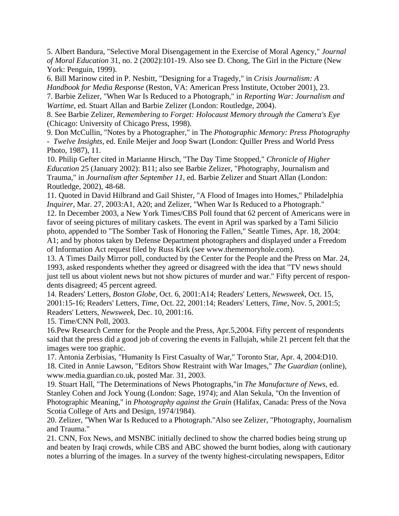5. Albert Bandura, "Selective Moral Disengagement in the Exercise of Moral Agency," *Journal of Moral Education* 31, no. 2 (2002):101-19. Also see D. Chong, The Girl in the Picture (New York: Penguin, 1999).

6. Bill Marinow cited in P. Nesbitt, "Designing for a Tragedy," in *Crisis Journalism: A Handbook for Media Response* (Reston, VA: American Press Institute, October 2001), 23. 7. Barbie Zelizer, "When War Is Reduced to a Photograph," in *Reporting War: Journalism and* 

*Wartime*, ed. Stuart Allan and Barbie Zelizer (London: Routledge, 2004).

8. See Barbie Zelizer, *Remembering to Forget: Holocaust Memory through the Camera's Eye*  (Chicago: University of Chicago Press, 1998).

9. Don McCullin, "Notes by a Photographer," in The *Photographic Memory: Press Photography - Twelve Insights*, ed. Enile Meijer and Joop Swart (London: Quiller Press and World Press Photo, 1987), 11.

10. Philip Gefter cited in Marianne Hirsch, "The Day Time Stopped," *Chronicle of Higher Education* 25 (January 2002): B11; also see Barbie Zelizer, "Photography, Journalism and Trauma," in *Journalism after September 11*, ed. Barbie Zelizer and Stuart Allan (London: Routledge, 2002), 48-68.

11. Quoted in David Hilbrand and Gail Shister, "A Flood of Images into Homes," Philadelphia *Inquirer*, Mar. 27, 2003:A1, A20; and Zelizer, "When War Is Reduced to a Photograph." 12. In December 2003, a New York Times/CBS Poll found that 62 percent of Americans were in favor of seeing pictures of military caskets. The event in April was sparked by a Tami Silicio photo, appended to "The Somber Task of Honoring the Fallen," Seattle Times, Apr. 18, 2004: A1; and by photos taken by Defense Department photographers and displayed under a Freedom of Information Act request filed by Russ Kirk (see [www.thememoryhole.com\)](http://www.thememoryhole.com/).

13. A Times Daily Mirror poll, conducted by the Center for the People and the Press on Mar. 24, 1993, asked respondents whether they agreed or disagreed with the idea that "TV news should just tell us about violent news but not show pictures of murder and war." Fifty percent of respondents disagreed; 45 percent agreed.

14. Readers' Letters, *Boston Globe*, Oct. 6, 2001:A14; Readers' Letters, *Newsweek*, Oct. 15, 2001:15-16; Readers' Letters, *Time*, Oct. 22, 2001:14; Readers' Letters, *Time*, Nov. 5, 2001:5; Readers' Letters, *Newsweek*, Dec. 10, 2001:16.

15. Time/CNN Poll, 2003.

16.Pew Research Center for the People and the Press, Apr.5,2004. Fifty percent of respondents said that the press did a good job of covering the events in Fallujah, while 21 percent felt that the images were too graphic.

17. Antonia Zerbisias, "Humanity Is First Casualty of War," Toronto Star, Apr. 4, 2004:D10. 18. Cited in Annie Lawson, "Editors Show Restraint with War Images," *The Guardian* (online), [www.media.guardian.co.uk,](http://www.media.guardian.co.uk/) posted Mar. 31, 2003.

19. Stuart Hall, "The Determinations of News Photographs,"in *The Manufacture of News*, ed. Stanley Cohen and Jock Young (London: Sage, 1974); and Alan Sekula, "On the Invention of Photographic Meaning," in *Photography against the Grain* (Halifax, Canada: Press of the Nova Scotia College of Arts and Design, 1974/1984).

20. Zelizer, "When War Is Reduced to a Photograph."Also see Zelizer, "Photography, Journalism and Trauma."

21. CNN, Fox News, and MSNBC initially declined to show the charred bodies being strung up and beaten by Iraqi crowds, while CBS and ABC showed the burnt bodies, along with cautionary notes a blurring of the images. In a survey of the twenty highest-circulating newspapers, Editor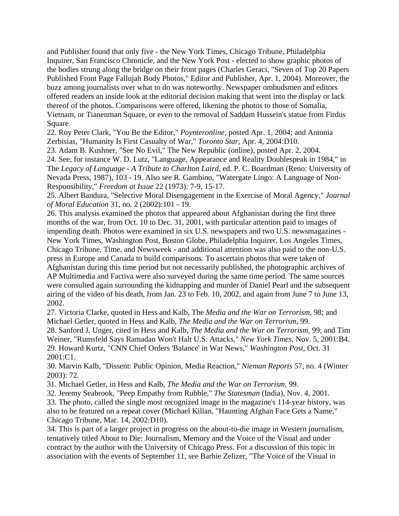and Publisher found that only five - the New York Times, Chicago Tribune, Philadelphia Inquirer, San Francisco Chronicle, and the New York Post - elected to show graphic photos of the bodies strung along the bridge on their front pages (Charles Geraci, "Seven of Top 20 Papers Published Front Page Fallujah Body Photos," Editor and Publisher, Apr. 1, 2004). Moreover, the buzz among journalists over what to do was noteworthy. Newspaper ombudsmen and editors offered readers an inside look at the editorial decision making that went into the display or lack thereof of the photos. Comparisons were offered, likening the photos to those of Somalia, Vietnam, or Tianenman Square, or even to the removal of Saddam Hussein's statue from Firdus Square.

22. Roy Peter Clark, "You Be the Editor," *Poynteronline*, posted Apr. 1, 2004; and Antonia Zerbisias, "Humanity Is First Casualty of War," *Toronto Star*, Apr. 4, 2004:D10.

23. Adam B. Kushner, "See No Evil," The New Republic (online), posted Apr. 2, 2004. 24. See, for instance W. D. Lutz, "Language, Appearance and Reality Doublespeak in 1984," in The *Legacy of Language - A Tribute to Charlton Laird*, ed. P. C. Boardman (Reno: University of Nevada Press, 1987), 103 - 19. Also see R. Gambino, "Watergate Lingo: A Language of Non-Responsibility," *Freedom at Issue* 22 (1973): 7-9, 15-17.

25. Albert Bandura, "Selective Moral Disengagement in the Exercise of Moral Agency," *Journal of Moral Education* 31, no. 2 (2002):101 - 19.

26. This analysis examined the photos that appeared about Afghanistan during the first three months of the war, from Oct. 10 to Dec. 31, 2001, with particular attention paid to images of impending death. Photos were examined in six U.S. newspapers and two U.S. newsmagazines - New York Times, Washington Post, Boston Globe, Philadelphia Inquirer, Los Angeles Times, Chicago Tribune, Time, and Newsweek - and additional attention was also paid to the non-U.S. press in Europe and Canada to build comparisons. To ascertain photos that were taken of Afghanistan during this time period but not necessarily published, the photographic archives of AP Multimedia and Factiva were also surveyed during the same time period. The same sources were consulted again surrounding the kidnapping and murder of Daniel Pearl and the subsequent airing of the video of his death, from Jan. 23 to Feb. 10, 2002, and again from June 7 to June 13, 2002.

27. Victoria Clarke, quoted in Hess and Kalb, The *Media and the War on Terrorism*, 98; and Michael Getler, quoted in Hess and Kalb, *The Media and the War on Terrorism*, 99.

28. Sanford J. Unger, cited in Hess and Kalb, *The Media and the War on Terrorism*, 99; and Tim Weiner, "Rumsfeld Says Ramadan Won't Halt U.S. Attacks," *New York Times*, Nov. 5, 2001:B4. 29. Howard Kurtz, "CNN Chief Orders 'Balance' in War News," *Washington Post*, Oct. 31 2001:C1.

30. Marvin Kalb, "Dissent: Public Opinion, Media Reaction," *Nieman Reports* 57, no. 4 (Winter 2003): 72.

31. Michael Getler, in Hess and Kalb, *The Media and the War on Terrorism*, 99.

32. Jeremy Seabrook, "Peep Empathy from Rubble," *The Statesman* (India), Nov. 4, 2001.

33. The photo, called the single most recognized image in the magazine's 114-year history, was also to be featured on a repeat cover (Michael Kilian, "Haunting Afghan Face Gets a Name," Chicago Tribune, Mar. 14, 2002:D10).

34. This is part of a larger project in progress on the about-to-die image in Western journalism, tentatively titled About to Die: Journalism, Memory and the Voice of the Visual and under contract by the author with the University of Chicago Press. For a discussion of this topic in association with the events of September 11, see Barbie Zelizer, "The Voice of the Visual in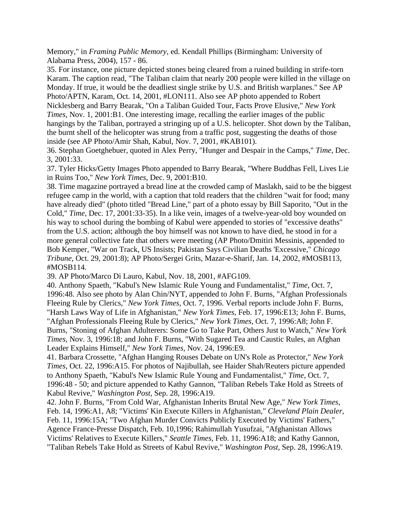Memory," in *Framing Public Memory*, ed. Kendall Phillips (Birmingham: University of Alabama Press, 2004), 157 - 86.

35. For instance, one picture depicted stones being cleared from a ruined building in strife-torn Karam. The caption read, "The Taliban claim that nearly 200 people were killed in the village on Monday. If true, it would be the deadliest single strike by U.S. and British warplanes." See AP Photo/APTN, Karam, Oct. 14, 2001, #LON111. Also see AP photo appended to Robert Nicklesberg and Barry Bearak, "On a Taliban Guided Tour, Facts Prove Elusive," *New York Times*, Nov. 1, 2001:B1. One interesting image, recalling the earlier images of the public hangings by the Taliban, portrayed a stringing up of a U.S. helicopter. Shot down by the Taliban, the burnt shell of the helicopter was strung from a traffic post, suggesting the deaths of those inside (see AP Photo/Amir Shah, Kabul, Nov. 7, 2001, #KAB101).

36. Stephan Goetghebuer, quoted in Alex Perry, "Hunger and Despair in the Camps," *Time*, Dec. 3, 2001:33.

37. Tyler Hicks/Getty Images Photo appended to Barry Bearak, "Where Buddhas Fell, Lives Lie in Ruins Too," *New York Times*, Dec. 9, 2001:B10.

38. Time magazine portrayed a bread line at the crowded camp of Maslakh, said to be the biggest refugee camp in the world, with a caption that told readers that the children "wait for food; many have already died" (photo titled "Bread Line," part of a photo essay by Bill Saporito, "Out in the Cold," *Time*, Dec. 17, 2001:33-35). In a like vein, images of a twelve-year-old boy wounded on his way to school during the bombing of Kabul were appended to stories of "excessive deaths" from the U.S. action; although the boy himself was not known to have died, he stood in for a more general collective fate that others were meeting (AP Photo/Dmitiri Messinis, appended to Bob Kemper, "War on Track, US Insists; Pakistan Says Civilian Deaths 'Excessive," *Chicago Tribune*, Oct. 29, 2001:8); AP Photo/Sergei Grits, Mazar-e-Sharif, Jan. 14, 2002, #MOSB113, #MOSB114.

39. AP Photo/Marco Di Lauro, Kabul, Nov. 18, 2001, #AFG109.

40. Anthony Spaeth, "Kabul's New Islamic Rule Young and Fundamentalist," *Time*, Oct. 7, 1996:48. Also see photo by Alan Chin/NYT, appended to John F. Burns, "Afghan Professionals Fleeing Rule by Clerics," *New York Times*, Oct. 7, 1996. Verbal reports include John F. Burns, "Harsh Laws Way of Life in Afghanistan," *New York Times*, Feb. 17, 1996:E13; John F. Burns, "Afghan Professionals Fleeing Rule by Clerics," *New York Times*, Oct. 7, 1996:A8; John F. Burns, "Stoning of Afghan Adulterers: Some Go to Take Part, Others Just to Watch," *New York Times*, Nov. 3, 1996:18; and John F. Burns, "With Sugared Tea and Caustic Rules, an Afghan Leader Explains Himself," *New York Times,* Nov. 24, 1996:E9.

41. Barbara Crossette, "Afghan Hanging Rouses Debate on UN's Role as Protector," *New York Times*, Oct. 22, 1996:A15. For photos of Najibullah, see Haider Shah/Reuters picture appended to Anthony Spaeth, "Kabul's New Islamic Rule Young and Fundamentalist," *Time*, Oct. 7, 1996:48 - 50; and picture appended to Kathy Gannon, "Taliban Rebels Take Hold as Streets of Kabul Revive," *Washington Post*, Sep. 28, 1996:A19.

42. John F. Burns, "From Cold War, Afghanistan Inherits Brutal New Age," *New York Times*, Feb. 14, 1996:A1, A8; "Victims' Kin Execute Killers in Afghanistan," *Cleveland Plain Dealer*, Feb. 11, 1996:15A; "Two Afghan Murder Convicts Publicly Executed by Victims' Fathers," Agence France-Presse Dispatch, Feb. 10,1996; Rahimullah Yusufzai, "Afghanistan Allows Victims' Relatives to Execute Killers," *Seattle Times*, Feb. 11, 1996:A18; and Kathy Gannon, "Taliban Rebels Take Hold as Streets of Kabul Revive," *Washington Post*, Sep. 28, 1996:A19.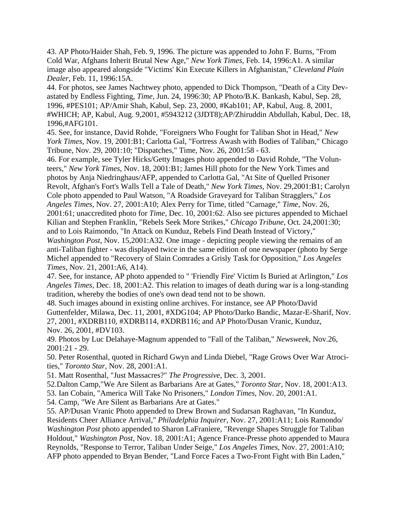43. AP Photo/Haider Shah, Feb. 9, 1996. The picture was appended to John F. Burns, "From Cold War, Afghans Inherit Brutal New Age," *New York Times*, Feb. 14, 1996:A1. A similar image also appeared alongside "Victims' Kin Execute Killers in Afghanistan," *Cleveland Plain Dealer*, Feb. 11, 1996:15A.

44. For photos, see James Nachtwey photo, appended to Dick Thompson, "Death of a City Devastated by Endless Fighting, *Time*, Jun. 24, 1996:30; AP Photo/B.K. Bankash, Kabul, Sep. 28, 1996, #PES101; AP/Amir Shah, Kabul, Sep. 23, 2000, #Kab101; AP, Kabul, Aug. 8, 2001, #WHICH; AP, Kabul, Aug. 9,2001, #5943212 (3JDT8);AP/Zhiruddin Abdullah, Kabul, Dec. 18, 1996,#AFG101.

45. See, for instance, David Rohde, "Foreigners Who Fought for Taliban Shot in Head," *New York Times*, Nov. 19, 2001:B1; Carlotta Gal, "Fortress Awash with Bodies of Taliban," Chicago Tribune, Nov. 29, 2001:10; "Dispatches," Time, Nov. 26, 2001:58 - 63.

46. For example, see Tyler Hicks/Getty Images photo appended to David Rohde, "The Volunteers," *New York Times*, Nov. 18, 2001:B1; James Hill photo for the New York Times and photos by Anja Niedringhaus/AFP, appended to Carlotta Gal, "At Site of Quelled Prisoner Revolt, Afghan's Fort's Walls Tell a Tale of Death," *New York Times*, Nov. 29,2001:B1; Carolyn Cole photo appended to Paul Watson, "A Roadside Graveyard for Taliban Stragglers," *Los Angeles Times*, Nov. 27, 2001:A10; Alex Perry for Time, titled "Carnage," *Time*, Nov. 26, 2001:61; unaccredited photo for *Time*, Dec. 10, 2001:62. Also see pictures appended to Michael Kilian and Stephen Franklin, "Rebels Seek More Strikes," *Chicago Tribune*, Oct. 24,2001:30; and to Lois Raimondo, "In Attack on Kunduz, Rebels Find Death Instead of Victory," *Washington Post*, Nov. 15,2001:A32. One image - depicting people viewing the remains of an anti-Taliban fighter - was displayed twice in the same edition of one newspaper (photo by Serge Michel appended to "Recovery of Slain Comrades a Grisly Task for Opposition," *Los Angeles Times,* Nov. 21, 2001:A6, A14).

47. See, for instance, AP photo appended to " 'Friendly Fire' Victim Is Buried at Arlington," *Los Angeles Times*, Dec. 18, 2001:A2. This relation to images of death during war is a long-standing tradition, whereby the bodies of one's own dead tend not to be shown.

48. Such images abound in existing online archives. For instance, see AP Photo/David Guttenfelder, Milawa, Dec. 11, 2001, #XDG104; AP Photo/Darko Bandic, Mazar-E-Sharif, Nov. 27, 2001, #XDRB110, #XDRB114, #XDRB116; and AP Photo/Dusan Vranic, Kunduz, Nov. 26, 2001, #DV103.

49. Photos by Luc Delahaye-Magnum appended to "Fall of the Taliban," *Newsweek*, Nov.26, 2001:21 - 29.

50. Peter Rosenthal, quoted in Richard Gwyn and Linda Diebel, "Rage Grows Over War Atrocities," *Toronto Star*, Nov. 28, 2001:A1.

51. Matt Rosenthal, "Just Massacres?" *The Progressive*, Dec. 3, 2001.

52.Dalton Camp,"We Are Silent as Barbarians Are at Gates," *Toronto Star*, Nov. 18, 2001:A13.

53. Ian Cobain, "America Will Take No Prisoners," *London Times*, Nov. 20, 2001:A1.

54. Camp, "We Are Silent as Barbarians Are at Gates."

55. AP/Dusan Vranic Photo appended to Drew Brown and Sudarsan Raghavan, "In Kunduz, Residents Cheer Alliance Arrival," *Philadelphia Inquirer*, Nov. 27, 2001:A11; Lois Ramondo/ *Washington Post* photo appended to Sharon LaFraniere, "Revenge Shapes Struggle for Taliban Holdout," *Washington Post*, Nov. 18, 2001:A1; Agence France-Presse photo appended to Maura Reynolds, "Response to Terror, Taliban Under Seige," *Los Angeles Times*, Nov. 27, 2001:A10; AFP photo appended to Bryan Bender, "Land Force Faces a Two-Front Fight with Bin Laden,"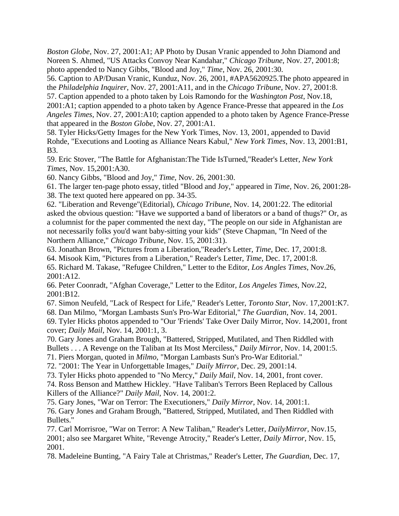*Boston Globe*, Nov. 27, 2001:A1; AP Photo by Dusan Vranic appended to John Diamond and Noreen S. Ahmed, "US Attacks Convoy Near Kandahar," *Chicago Tribune*, Nov. 27, 2001:8; photo appended to Nancy Gibbs, "Blood and Joy," *Time*, Nov. 26, 2001:30.

56. Caption to AP/Dusan Vranic, Kunduz, Nov. 26, 2001, #APA5620925.The photo appeared in the *Philadelphia Inquirer*, Nov. 27, 2001:A11, and in the *Chicago Tribune*, Nov. 27, 2001:8. 57. Caption appended to a photo taken by Lois Ramondo for the *Washington Post*, Nov.18,

2001:A1; caption appended to a photo taken by Agence France-Presse that appeared in the *Los Angeles Times*, Nov. 27, 2001:A10; caption appended to a photo taken by Agence France-Presse that appeared in the *Boston Globe*, Nov. 27, 2001:A1.

58. Tyler Hicks/Getty Images for the New York Times, Nov. 13, 2001, appended to David Rohde, "Executions and Looting as Alliance Nears Kabul," *New York Times*, Nov. 13, 2001:B1, B3.

59. Eric Stover, "The Battle for Afghanistan:The Tide IsTurned,"Reader's Letter, *New York Times*, Nov. 15,2001:A30.

60. Nancy Gibbs, "Blood and Joy," *Time*, Nov. 26, 2001:30.

61. The larger ten-page photo essay, titled "Blood and Joy," appeared in *Time*, Nov. 26, 2001:28- 38. The text quoted here appeared on pp. 34-35.

62. "Liberation and Revenge"(Editorial), *Chicago Tribune*, Nov. 14, 2001:22. The editorial asked the obvious question: "Have we supported a band of liberators or a band of thugs?" Or, as a columnist for the paper commented the next day, "The people on our side in Afghanistan are not necessarily folks you'd want baby-sitting your kids" (Steve Chapman, "In Need of the Northern Alliance," *Chicago Tribune*, Nov. 15, 2001:31).

63. Jonathan Brown, "Pictures from a Liberation,"Reader's Letter, *Time*, Dec. 17, 2001:8.

64. Misook Kim, "Pictures from a Liberation," Reader's Letter, *Time*, Dec. 17, 2001:8.

65. Richard M. Takase, "Refugee Children," Letter to the Editor, *Los Angles Times*, Nov.26, 2001:A12.

66. Peter Coonradt, "Afghan Coverage," Letter to the Editor, *Los Angeles Times*, Nov.22, 2001:B12.

67. Simon Neufeld, "Lack of Respect for Life," Reader's Letter, *Toronto Star*, Nov. 17,2001:K7. 68. Dan Milmo, "Morgan Lambasts Sun's Pro-War Editorial," *The Guardian*, Nov. 14, 2001.

69. Tyler Hicks photos appended to "Our 'Friends' Take Over Daily Mirror, Nov. 14,2001, front cover; *Daily Mail*, Nov. 14, 2001:1, 3.

70. Gary Jones and Graham Brough, "Battered, Stripped, Mutilated, and Then Riddled with Bullets . . . A Revenge on the Taliban at Its Most Merciless," *Daily Mirror*, Nov. 14, 2001:5.

71. Piers Morgan, quoted in *Milmo,* "Morgan Lambasts Sun's Pro-War Editorial."

72. "2001: The Year in Unforgettable Images," *Daily Mirror*, Dec. 29, 2001:14.

73. Tyler Hicks photo appended to "No Mercy," *Daily Mail*, Nov. 14, 2001, front cover.

74. Ross Benson and Matthew Hickley. "Have Taliban's Terrors Been Replaced by Callous Killers of the Alliance?" *Daily Mail*, Nov. 14, 2001:2.

75. Gary Jones, "War on Terror: The Executioners," *Daily Mirror*, Nov. 14, 2001:1.

76. Gary Jones and Graham Brough, "Battered, Stripped, Mutilated, and Then Riddled with Bullets."

77. Carl Morrisroe, "War on Terror: A New Taliban," Reader's Letter, *DailyMirror*, Nov.15, 2001; also see Margaret White, "Revenge Atrocity," Reader's Letter, *Daily Mirror*, Nov. 15, 2001.

78. Madeleine Bunting, "A Fairy Tale at Christmas," Reader's Letter, *The Guardian*, Dec. 17,